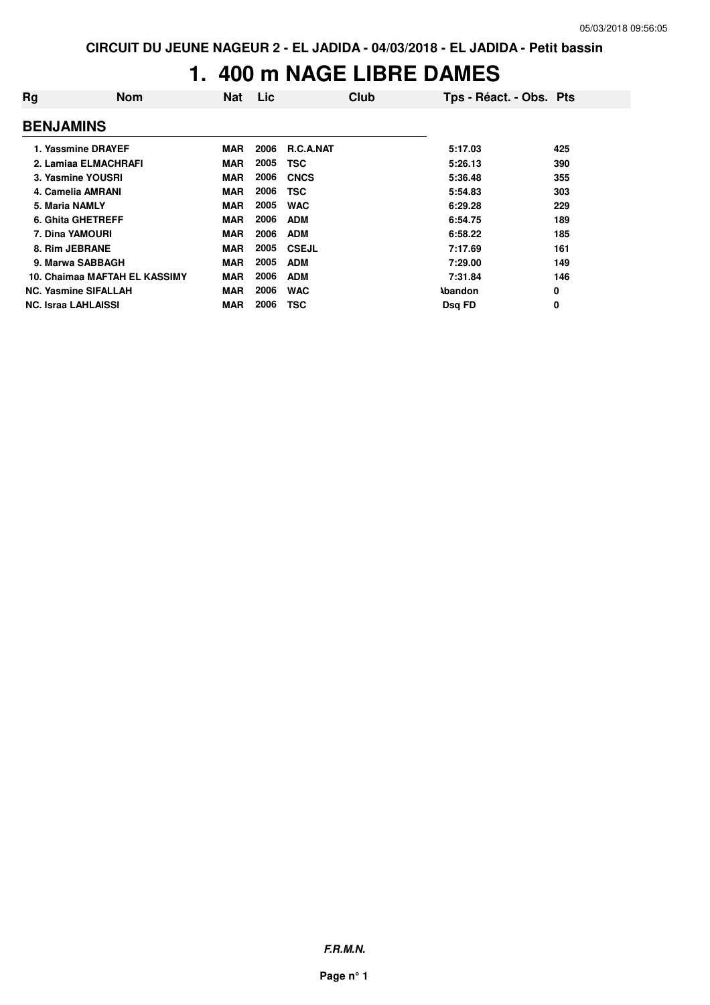#### **1. 400 m NAGE LIBRE DAMES**

| Rg                          | <b>Nom</b>                    | <b>Nat</b> | Lic  | Club             |                | Tps - Réact. - Obs. Pts |
|-----------------------------|-------------------------------|------------|------|------------------|----------------|-------------------------|
| <b>BENJAMINS</b>            |                               |            |      |                  |                |                         |
| 1. Yassmine DRAYEF          |                               | <b>MAR</b> | 2006 | <b>R.C.A.NAT</b> | 5:17.03        | 425                     |
| 2. Lamiaa ELMACHRAFI        |                               | <b>MAR</b> | 2005 | <b>TSC</b>       | 5:26.13        | 390                     |
| 3. Yasmine YOUSRI           |                               | <b>MAR</b> | 2006 | <b>CNCS</b>      | 5:36.48        | 355                     |
| 4. Camelia AMRANI           |                               | <b>MAR</b> | 2006 | TSC              | 5:54.83        | 303                     |
| 5. Maria NAMLY              |                               | <b>MAR</b> | 2005 | <b>WAC</b>       | 6:29.28        | 229                     |
| 6. Ghita GHETREFF           |                               | <b>MAR</b> | 2006 | <b>ADM</b>       | 6:54.75        | 189                     |
| <b>7. Dina YAMOURI</b>      |                               | <b>MAR</b> | 2006 | <b>ADM</b>       | 6:58.22        | 185                     |
| 8. Rim JEBRANE              |                               | <b>MAR</b> | 2005 | <b>CSEJL</b>     | 7:17.69        | 161                     |
| 9. Marwa SABBAGH            |                               | <b>MAR</b> | 2005 | <b>ADM</b>       | 7:29.00        | 149                     |
|                             | 10. Chaimaa MAFTAH EL KASSIMY | <b>MAR</b> | 2006 | <b>ADM</b>       | 7:31.84        | 146                     |
| <b>NC. Yasmine SIFALLAH</b> |                               | <b>MAR</b> | 2006 | <b>WAC</b>       | <b>\bandon</b> | 0                       |
| <b>NC. Israa LAHLAISSI</b>  |                               | <b>MAR</b> | 2006 | TSC              | Dsg FD         | 0                       |

**F.R.M.N.**

**Page n° 1**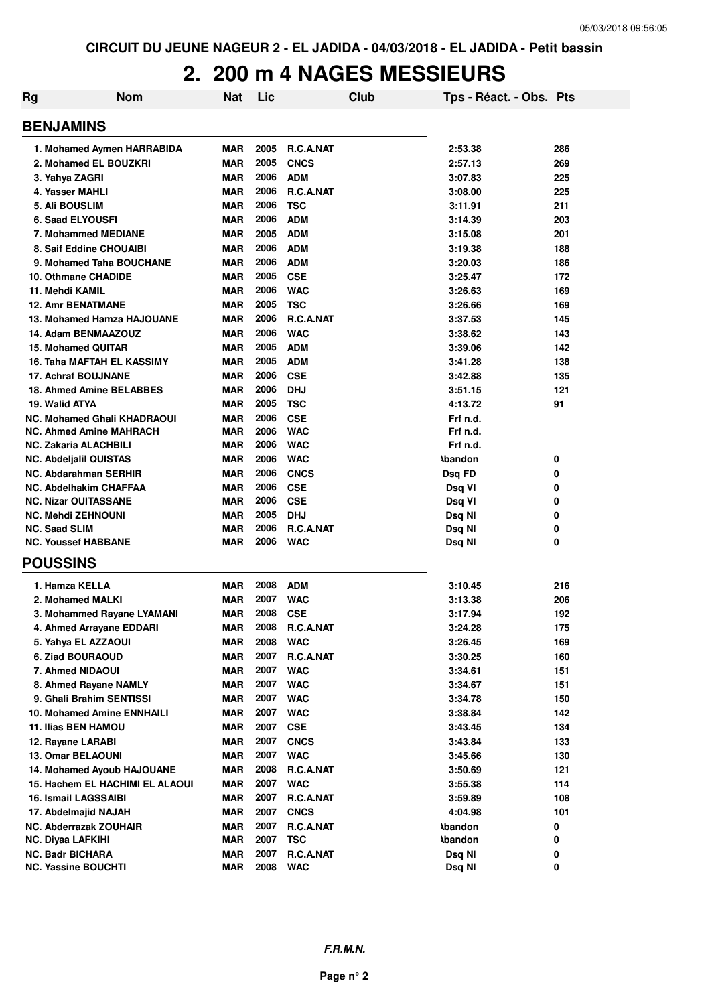# **2. 200 m 4 NAGES MESSIEURS**

| <b>BENJAMINS</b><br>2005<br>1. Mohamed Aymen HARRABIDA<br><b>MAR</b><br><b>R.C.A.NAT</b><br>2:53.38<br>286<br>2005<br><b>CNCS</b><br>2. Mohamed EL BOUZKRI<br><b>MAR</b><br>2:57.13<br>269<br>2006<br><b>MAR</b><br><b>ADM</b><br>3. Yahya ZAGRI<br>3:07.83<br>225<br>2006<br>R.C.A.NAT<br>4. Yasser MAHLI<br><b>MAR</b><br>3:08.00<br>225<br>2006<br><b>TSC</b><br><b>5. Ali BOUSLIM</b><br><b>MAR</b><br>3:11.91<br>211<br>2006<br><b>6. Saad ELYOUSFI</b><br><b>ADM</b><br><b>MAR</b><br>3:14.39<br>203<br>2005<br><b>ADM</b><br><b>MAR</b><br>7. Mohammed MEDIANE<br>3:15.08<br>201<br>2006<br><b>ADM</b><br><b>MAR</b><br>8. Saif Eddine CHOUAIBI<br>3:19.38<br>188<br>2006<br><b>ADM</b><br><b>MAR</b><br>9. Mohamed Taha BOUCHANE<br>3:20.03<br>186<br>2005<br><b>CSE</b><br>10. Othmane CHADIDE<br><b>MAR</b><br>3:25.47<br>172<br>2006<br><b>MAR</b><br><b>WAC</b><br>11. Mehdi KAMIL<br>3:26.63<br>169<br>2005<br><b>MAR</b><br><b>TSC</b><br><b>12. Amr BENATMANE</b><br>3:26.66<br>169<br>2006<br>R.C.A.NAT<br>13. Mohamed Hamza HAJOUANE<br><b>MAR</b><br>3:37.53<br>145<br>2006<br><b>WAC</b><br>14. Adam BENMAAZOUZ<br><b>MAR</b><br>3:38.62<br>143<br>2005<br><b>ADM</b><br><b>15. Mohamed QUITAR</b><br><b>MAR</b><br>3:39.06<br>142<br>2005<br><b>ADM</b><br>16. Taha MAFTAH EL KASSIMY<br><b>MAR</b><br>3:41.28<br>138<br>2006<br><b>17. Achraf BOUJNANE</b><br><b>MAR</b><br><b>CSE</b><br>3:42.88<br>135<br>2006<br>18. Ahmed Amine BELABBES<br><b>MAR</b><br><b>DHJ</b><br>121<br>3:51.15<br>2005<br><b>TSC</b><br>19. Walid ATYA<br><b>MAR</b><br>4:13.72<br>91<br>2006<br><b>CSE</b><br><b>NC. Mohamed Ghali KHADRAOUI</b><br><b>MAR</b><br>Frf n.d.<br>2006<br><b>WAC</b><br><b>NC. Ahmed Amine MAHRACH</b><br><b>MAR</b><br>Frf n.d.<br>2006<br><b>MAR</b><br><b>WAC</b><br>Frf n.d.<br><b>NC. Zakaria ALACHBILI</b><br>2006<br><b>WAC</b><br><b>MAR</b><br><b>Abandon</b><br><b>NC. Abdeljalil QUISTAS</b><br>0<br>2006<br><b>MAR</b><br><b>CNCS</b><br><b>NC. Abdarahman SERHIR</b><br>Dsq FD<br>0<br>2006<br><b>MAR</b><br><b>CSE</b><br><b>NC. Abdelhakim CHAFFAA</b><br>Dsq VI<br>0<br>2006<br><b>CSE</b><br><b>NC. Nizar OUITASSANE</b><br><b>MAR</b><br>Dsq VI<br>0<br>2005<br><b>DHJ</b><br><b>NC. Mehdi ZEHNOUNI</b><br><b>MAR</b><br>0<br>Dsq NI<br>2006<br>R.C.A.NAT<br><b>NC. Saad SLIM</b><br><b>MAR</b><br>0<br>Dsq NI<br>2006<br><b>NC. Youssef HABBANE</b><br>MAR<br><b>WAC</b><br>0<br>Dsq NI<br><b>POUSSINS</b><br>2008<br><b>ADM</b><br>1. Hamza KELLA<br><b>MAR</b><br>3:10.45<br>216<br>2007<br><b>WAC</b><br>2. Mohamed MALKI<br><b>MAR</b><br>3:13.38<br>206<br>2008<br><b>CSE</b><br>3. Mohammed Rayane LYAMANI<br><b>MAR</b><br>3:17.94<br>192<br>4. Ahmed Arrayane EDDARI<br>MAR<br>2008<br>R.C.A.NAT<br>3:24.28<br>175<br>2008<br><b>WAC</b><br>5. Yahya EL AZZAOUI<br><b>MAR</b><br>3:26.45<br>169<br>2007<br><b>MAR</b><br>R.C.A.NAT<br><b>6. Ziad BOURAOUD</b><br>3:30.25<br>160<br>2007<br><b>MAR</b><br><b>WAC</b><br>7. Ahmed NIDAOUI<br>151<br>3:34.61<br>2007<br><b>WAC</b><br>8. Ahmed Rayane NAMLY<br><b>MAR</b><br>151<br>3:34.67<br>9. Ghali Brahim SENTISSI<br>2007<br><b>WAC</b><br><b>MAR</b><br>150<br>3:34.78<br>2007<br><b>WAC</b><br>10. Mohamed Amine ENNHAILI<br><b>MAR</b><br>3:38.84<br>142<br>2007<br><b>CSE</b><br><b>11. Ilias BEN HAMOU</b><br><b>MAR</b><br>3:43.45<br>134<br>2007<br><b>CNCS</b><br>12. Rayane LARABI<br><b>MAR</b><br>3:43.84<br>133<br>2007<br><b>WAC</b><br><b>13. Omar BELAOUNI</b><br><b>MAR</b><br>3:45.66<br>130<br>2008<br>R.C.A.NAT<br>14. Mohamed Ayoub HAJOUANE<br><b>MAR</b><br>3:50.69<br>121<br>2007<br>15. Hachem EL HACHIMI EL ALAOUI<br><b>MAR</b><br><b>WAC</b><br>114<br>3:55.38<br>2007<br><b>16. Ismail LAGSSAIBI</b><br><b>MAR</b><br>R.C.A.NAT<br>3:59.89<br>108<br>2007<br>17. Abdelmajid NAJAH<br><b>MAR</b><br><b>CNCS</b><br>4:04.98<br>101<br>2007<br>R.C.A.NAT<br>NC. Abderrazak ZOUHAIR<br><b>MAR</b><br>0<br><b>Abandon</b><br>2007<br><b>MAR</b><br><b>TSC</b><br><b>Abandon</b><br>0<br><b>NC. Diyaa LAFKIHI</b><br>2007<br>R.C.A.NAT<br><b>NC. Badr BICHARA</b><br>MAR<br>Dsq NI<br>0 | <b>Rg</b> | <b>Nom</b>                 | <b>Nat</b> | Lic  | <b>Club</b> | Tps - Réact. - Obs. Pts |   |
|---------------------------------------------------------------------------------------------------------------------------------------------------------------------------------------------------------------------------------------------------------------------------------------------------------------------------------------------------------------------------------------------------------------------------------------------------------------------------------------------------------------------------------------------------------------------------------------------------------------------------------------------------------------------------------------------------------------------------------------------------------------------------------------------------------------------------------------------------------------------------------------------------------------------------------------------------------------------------------------------------------------------------------------------------------------------------------------------------------------------------------------------------------------------------------------------------------------------------------------------------------------------------------------------------------------------------------------------------------------------------------------------------------------------------------------------------------------------------------------------------------------------------------------------------------------------------------------------------------------------------------------------------------------------------------------------------------------------------------------------------------------------------------------------------------------------------------------------------------------------------------------------------------------------------------------------------------------------------------------------------------------------------------------------------------------------------------------------------------------------------------------------------------------------------------------------------------------------------------------------------------------------------------------------------------------------------------------------------------------------------------------------------------------------------------------------------------------------------------------------------------------------------------------------------------------------------------------------------------------------------------------------------------------------------------------------------------------------------------------------------------------------------------------------------------------------------------------------------------------------------------------------------------------------------------------------------------------------------------------------------------------------------------------------------------------------------------------------------------------------------------------------------------------------------------------------------------------------------------------------------------------------------------------------------------------------------------------------------------------------------------------------------------------------------------------------------------------------------------------------------------------------------------------------------------------------------------------------------------------------------------------------------------------------------------------------------------------------------------------------------------------------------------------------------------------------------------------------------------------------------------------------------------------------------------------------------------------------------------------------------------------------------------------------------------------------------------------------------------------------------|-----------|----------------------------|------------|------|-------------|-------------------------|---|
|                                                                                                                                                                                                                                                                                                                                                                                                                                                                                                                                                                                                                                                                                                                                                                                                                                                                                                                                                                                                                                                                                                                                                                                                                                                                                                                                                                                                                                                                                                                                                                                                                                                                                                                                                                                                                                                                                                                                                                                                                                                                                                                                                                                                                                                                                                                                                                                                                                                                                                                                                                                                                                                                                                                                                                                                                                                                                                                                                                                                                                                                                                                                                                                                                                                                                                                                                                                                                                                                                                                                                                                                                                                                                                                                                                                                                                                                                                                                                                                                                                                                                                                           |           |                            |            |      |             |                         |   |
|                                                                                                                                                                                                                                                                                                                                                                                                                                                                                                                                                                                                                                                                                                                                                                                                                                                                                                                                                                                                                                                                                                                                                                                                                                                                                                                                                                                                                                                                                                                                                                                                                                                                                                                                                                                                                                                                                                                                                                                                                                                                                                                                                                                                                                                                                                                                                                                                                                                                                                                                                                                                                                                                                                                                                                                                                                                                                                                                                                                                                                                                                                                                                                                                                                                                                                                                                                                                                                                                                                                                                                                                                                                                                                                                                                                                                                                                                                                                                                                                                                                                                                                           |           |                            |            |      |             |                         |   |
|                                                                                                                                                                                                                                                                                                                                                                                                                                                                                                                                                                                                                                                                                                                                                                                                                                                                                                                                                                                                                                                                                                                                                                                                                                                                                                                                                                                                                                                                                                                                                                                                                                                                                                                                                                                                                                                                                                                                                                                                                                                                                                                                                                                                                                                                                                                                                                                                                                                                                                                                                                                                                                                                                                                                                                                                                                                                                                                                                                                                                                                                                                                                                                                                                                                                                                                                                                                                                                                                                                                                                                                                                                                                                                                                                                                                                                                                                                                                                                                                                                                                                                                           |           |                            |            |      |             |                         |   |
|                                                                                                                                                                                                                                                                                                                                                                                                                                                                                                                                                                                                                                                                                                                                                                                                                                                                                                                                                                                                                                                                                                                                                                                                                                                                                                                                                                                                                                                                                                                                                                                                                                                                                                                                                                                                                                                                                                                                                                                                                                                                                                                                                                                                                                                                                                                                                                                                                                                                                                                                                                                                                                                                                                                                                                                                                                                                                                                                                                                                                                                                                                                                                                                                                                                                                                                                                                                                                                                                                                                                                                                                                                                                                                                                                                                                                                                                                                                                                                                                                                                                                                                           |           |                            |            |      |             |                         |   |
|                                                                                                                                                                                                                                                                                                                                                                                                                                                                                                                                                                                                                                                                                                                                                                                                                                                                                                                                                                                                                                                                                                                                                                                                                                                                                                                                                                                                                                                                                                                                                                                                                                                                                                                                                                                                                                                                                                                                                                                                                                                                                                                                                                                                                                                                                                                                                                                                                                                                                                                                                                                                                                                                                                                                                                                                                                                                                                                                                                                                                                                                                                                                                                                                                                                                                                                                                                                                                                                                                                                                                                                                                                                                                                                                                                                                                                                                                                                                                                                                                                                                                                                           |           |                            |            |      |             |                         |   |
|                                                                                                                                                                                                                                                                                                                                                                                                                                                                                                                                                                                                                                                                                                                                                                                                                                                                                                                                                                                                                                                                                                                                                                                                                                                                                                                                                                                                                                                                                                                                                                                                                                                                                                                                                                                                                                                                                                                                                                                                                                                                                                                                                                                                                                                                                                                                                                                                                                                                                                                                                                                                                                                                                                                                                                                                                                                                                                                                                                                                                                                                                                                                                                                                                                                                                                                                                                                                                                                                                                                                                                                                                                                                                                                                                                                                                                                                                                                                                                                                                                                                                                                           |           |                            |            |      |             |                         |   |
|                                                                                                                                                                                                                                                                                                                                                                                                                                                                                                                                                                                                                                                                                                                                                                                                                                                                                                                                                                                                                                                                                                                                                                                                                                                                                                                                                                                                                                                                                                                                                                                                                                                                                                                                                                                                                                                                                                                                                                                                                                                                                                                                                                                                                                                                                                                                                                                                                                                                                                                                                                                                                                                                                                                                                                                                                                                                                                                                                                                                                                                                                                                                                                                                                                                                                                                                                                                                                                                                                                                                                                                                                                                                                                                                                                                                                                                                                                                                                                                                                                                                                                                           |           |                            |            |      |             |                         |   |
|                                                                                                                                                                                                                                                                                                                                                                                                                                                                                                                                                                                                                                                                                                                                                                                                                                                                                                                                                                                                                                                                                                                                                                                                                                                                                                                                                                                                                                                                                                                                                                                                                                                                                                                                                                                                                                                                                                                                                                                                                                                                                                                                                                                                                                                                                                                                                                                                                                                                                                                                                                                                                                                                                                                                                                                                                                                                                                                                                                                                                                                                                                                                                                                                                                                                                                                                                                                                                                                                                                                                                                                                                                                                                                                                                                                                                                                                                                                                                                                                                                                                                                                           |           |                            |            |      |             |                         |   |
|                                                                                                                                                                                                                                                                                                                                                                                                                                                                                                                                                                                                                                                                                                                                                                                                                                                                                                                                                                                                                                                                                                                                                                                                                                                                                                                                                                                                                                                                                                                                                                                                                                                                                                                                                                                                                                                                                                                                                                                                                                                                                                                                                                                                                                                                                                                                                                                                                                                                                                                                                                                                                                                                                                                                                                                                                                                                                                                                                                                                                                                                                                                                                                                                                                                                                                                                                                                                                                                                                                                                                                                                                                                                                                                                                                                                                                                                                                                                                                                                                                                                                                                           |           |                            |            |      |             |                         |   |
|                                                                                                                                                                                                                                                                                                                                                                                                                                                                                                                                                                                                                                                                                                                                                                                                                                                                                                                                                                                                                                                                                                                                                                                                                                                                                                                                                                                                                                                                                                                                                                                                                                                                                                                                                                                                                                                                                                                                                                                                                                                                                                                                                                                                                                                                                                                                                                                                                                                                                                                                                                                                                                                                                                                                                                                                                                                                                                                                                                                                                                                                                                                                                                                                                                                                                                                                                                                                                                                                                                                                                                                                                                                                                                                                                                                                                                                                                                                                                                                                                                                                                                                           |           |                            |            |      |             |                         |   |
|                                                                                                                                                                                                                                                                                                                                                                                                                                                                                                                                                                                                                                                                                                                                                                                                                                                                                                                                                                                                                                                                                                                                                                                                                                                                                                                                                                                                                                                                                                                                                                                                                                                                                                                                                                                                                                                                                                                                                                                                                                                                                                                                                                                                                                                                                                                                                                                                                                                                                                                                                                                                                                                                                                                                                                                                                                                                                                                                                                                                                                                                                                                                                                                                                                                                                                                                                                                                                                                                                                                                                                                                                                                                                                                                                                                                                                                                                                                                                                                                                                                                                                                           |           |                            |            |      |             |                         |   |
|                                                                                                                                                                                                                                                                                                                                                                                                                                                                                                                                                                                                                                                                                                                                                                                                                                                                                                                                                                                                                                                                                                                                                                                                                                                                                                                                                                                                                                                                                                                                                                                                                                                                                                                                                                                                                                                                                                                                                                                                                                                                                                                                                                                                                                                                                                                                                                                                                                                                                                                                                                                                                                                                                                                                                                                                                                                                                                                                                                                                                                                                                                                                                                                                                                                                                                                                                                                                                                                                                                                                                                                                                                                                                                                                                                                                                                                                                                                                                                                                                                                                                                                           |           |                            |            |      |             |                         |   |
|                                                                                                                                                                                                                                                                                                                                                                                                                                                                                                                                                                                                                                                                                                                                                                                                                                                                                                                                                                                                                                                                                                                                                                                                                                                                                                                                                                                                                                                                                                                                                                                                                                                                                                                                                                                                                                                                                                                                                                                                                                                                                                                                                                                                                                                                                                                                                                                                                                                                                                                                                                                                                                                                                                                                                                                                                                                                                                                                                                                                                                                                                                                                                                                                                                                                                                                                                                                                                                                                                                                                                                                                                                                                                                                                                                                                                                                                                                                                                                                                                                                                                                                           |           |                            |            |      |             |                         |   |
|                                                                                                                                                                                                                                                                                                                                                                                                                                                                                                                                                                                                                                                                                                                                                                                                                                                                                                                                                                                                                                                                                                                                                                                                                                                                                                                                                                                                                                                                                                                                                                                                                                                                                                                                                                                                                                                                                                                                                                                                                                                                                                                                                                                                                                                                                                                                                                                                                                                                                                                                                                                                                                                                                                                                                                                                                                                                                                                                                                                                                                                                                                                                                                                                                                                                                                                                                                                                                                                                                                                                                                                                                                                                                                                                                                                                                                                                                                                                                                                                                                                                                                                           |           |                            |            |      |             |                         |   |
|                                                                                                                                                                                                                                                                                                                                                                                                                                                                                                                                                                                                                                                                                                                                                                                                                                                                                                                                                                                                                                                                                                                                                                                                                                                                                                                                                                                                                                                                                                                                                                                                                                                                                                                                                                                                                                                                                                                                                                                                                                                                                                                                                                                                                                                                                                                                                                                                                                                                                                                                                                                                                                                                                                                                                                                                                                                                                                                                                                                                                                                                                                                                                                                                                                                                                                                                                                                                                                                                                                                                                                                                                                                                                                                                                                                                                                                                                                                                                                                                                                                                                                                           |           |                            |            |      |             |                         |   |
|                                                                                                                                                                                                                                                                                                                                                                                                                                                                                                                                                                                                                                                                                                                                                                                                                                                                                                                                                                                                                                                                                                                                                                                                                                                                                                                                                                                                                                                                                                                                                                                                                                                                                                                                                                                                                                                                                                                                                                                                                                                                                                                                                                                                                                                                                                                                                                                                                                                                                                                                                                                                                                                                                                                                                                                                                                                                                                                                                                                                                                                                                                                                                                                                                                                                                                                                                                                                                                                                                                                                                                                                                                                                                                                                                                                                                                                                                                                                                                                                                                                                                                                           |           |                            |            |      |             |                         |   |
|                                                                                                                                                                                                                                                                                                                                                                                                                                                                                                                                                                                                                                                                                                                                                                                                                                                                                                                                                                                                                                                                                                                                                                                                                                                                                                                                                                                                                                                                                                                                                                                                                                                                                                                                                                                                                                                                                                                                                                                                                                                                                                                                                                                                                                                                                                                                                                                                                                                                                                                                                                                                                                                                                                                                                                                                                                                                                                                                                                                                                                                                                                                                                                                                                                                                                                                                                                                                                                                                                                                                                                                                                                                                                                                                                                                                                                                                                                                                                                                                                                                                                                                           |           |                            |            |      |             |                         |   |
|                                                                                                                                                                                                                                                                                                                                                                                                                                                                                                                                                                                                                                                                                                                                                                                                                                                                                                                                                                                                                                                                                                                                                                                                                                                                                                                                                                                                                                                                                                                                                                                                                                                                                                                                                                                                                                                                                                                                                                                                                                                                                                                                                                                                                                                                                                                                                                                                                                                                                                                                                                                                                                                                                                                                                                                                                                                                                                                                                                                                                                                                                                                                                                                                                                                                                                                                                                                                                                                                                                                                                                                                                                                                                                                                                                                                                                                                                                                                                                                                                                                                                                                           |           |                            |            |      |             |                         |   |
|                                                                                                                                                                                                                                                                                                                                                                                                                                                                                                                                                                                                                                                                                                                                                                                                                                                                                                                                                                                                                                                                                                                                                                                                                                                                                                                                                                                                                                                                                                                                                                                                                                                                                                                                                                                                                                                                                                                                                                                                                                                                                                                                                                                                                                                                                                                                                                                                                                                                                                                                                                                                                                                                                                                                                                                                                                                                                                                                                                                                                                                                                                                                                                                                                                                                                                                                                                                                                                                                                                                                                                                                                                                                                                                                                                                                                                                                                                                                                                                                                                                                                                                           |           |                            |            |      |             |                         |   |
|                                                                                                                                                                                                                                                                                                                                                                                                                                                                                                                                                                                                                                                                                                                                                                                                                                                                                                                                                                                                                                                                                                                                                                                                                                                                                                                                                                                                                                                                                                                                                                                                                                                                                                                                                                                                                                                                                                                                                                                                                                                                                                                                                                                                                                                                                                                                                                                                                                                                                                                                                                                                                                                                                                                                                                                                                                                                                                                                                                                                                                                                                                                                                                                                                                                                                                                                                                                                                                                                                                                                                                                                                                                                                                                                                                                                                                                                                                                                                                                                                                                                                                                           |           |                            |            |      |             |                         |   |
|                                                                                                                                                                                                                                                                                                                                                                                                                                                                                                                                                                                                                                                                                                                                                                                                                                                                                                                                                                                                                                                                                                                                                                                                                                                                                                                                                                                                                                                                                                                                                                                                                                                                                                                                                                                                                                                                                                                                                                                                                                                                                                                                                                                                                                                                                                                                                                                                                                                                                                                                                                                                                                                                                                                                                                                                                                                                                                                                                                                                                                                                                                                                                                                                                                                                                                                                                                                                                                                                                                                                                                                                                                                                                                                                                                                                                                                                                                                                                                                                                                                                                                                           |           |                            |            |      |             |                         |   |
|                                                                                                                                                                                                                                                                                                                                                                                                                                                                                                                                                                                                                                                                                                                                                                                                                                                                                                                                                                                                                                                                                                                                                                                                                                                                                                                                                                                                                                                                                                                                                                                                                                                                                                                                                                                                                                                                                                                                                                                                                                                                                                                                                                                                                                                                                                                                                                                                                                                                                                                                                                                                                                                                                                                                                                                                                                                                                                                                                                                                                                                                                                                                                                                                                                                                                                                                                                                                                                                                                                                                                                                                                                                                                                                                                                                                                                                                                                                                                                                                                                                                                                                           |           |                            |            |      |             |                         |   |
|                                                                                                                                                                                                                                                                                                                                                                                                                                                                                                                                                                                                                                                                                                                                                                                                                                                                                                                                                                                                                                                                                                                                                                                                                                                                                                                                                                                                                                                                                                                                                                                                                                                                                                                                                                                                                                                                                                                                                                                                                                                                                                                                                                                                                                                                                                                                                                                                                                                                                                                                                                                                                                                                                                                                                                                                                                                                                                                                                                                                                                                                                                                                                                                                                                                                                                                                                                                                                                                                                                                                                                                                                                                                                                                                                                                                                                                                                                                                                                                                                                                                                                                           |           |                            |            |      |             |                         |   |
|                                                                                                                                                                                                                                                                                                                                                                                                                                                                                                                                                                                                                                                                                                                                                                                                                                                                                                                                                                                                                                                                                                                                                                                                                                                                                                                                                                                                                                                                                                                                                                                                                                                                                                                                                                                                                                                                                                                                                                                                                                                                                                                                                                                                                                                                                                                                                                                                                                                                                                                                                                                                                                                                                                                                                                                                                                                                                                                                                                                                                                                                                                                                                                                                                                                                                                                                                                                                                                                                                                                                                                                                                                                                                                                                                                                                                                                                                                                                                                                                                                                                                                                           |           |                            |            |      |             |                         |   |
|                                                                                                                                                                                                                                                                                                                                                                                                                                                                                                                                                                                                                                                                                                                                                                                                                                                                                                                                                                                                                                                                                                                                                                                                                                                                                                                                                                                                                                                                                                                                                                                                                                                                                                                                                                                                                                                                                                                                                                                                                                                                                                                                                                                                                                                                                                                                                                                                                                                                                                                                                                                                                                                                                                                                                                                                                                                                                                                                                                                                                                                                                                                                                                                                                                                                                                                                                                                                                                                                                                                                                                                                                                                                                                                                                                                                                                                                                                                                                                                                                                                                                                                           |           |                            |            |      |             |                         |   |
|                                                                                                                                                                                                                                                                                                                                                                                                                                                                                                                                                                                                                                                                                                                                                                                                                                                                                                                                                                                                                                                                                                                                                                                                                                                                                                                                                                                                                                                                                                                                                                                                                                                                                                                                                                                                                                                                                                                                                                                                                                                                                                                                                                                                                                                                                                                                                                                                                                                                                                                                                                                                                                                                                                                                                                                                                                                                                                                                                                                                                                                                                                                                                                                                                                                                                                                                                                                                                                                                                                                                                                                                                                                                                                                                                                                                                                                                                                                                                                                                                                                                                                                           |           |                            |            |      |             |                         |   |
|                                                                                                                                                                                                                                                                                                                                                                                                                                                                                                                                                                                                                                                                                                                                                                                                                                                                                                                                                                                                                                                                                                                                                                                                                                                                                                                                                                                                                                                                                                                                                                                                                                                                                                                                                                                                                                                                                                                                                                                                                                                                                                                                                                                                                                                                                                                                                                                                                                                                                                                                                                                                                                                                                                                                                                                                                                                                                                                                                                                                                                                                                                                                                                                                                                                                                                                                                                                                                                                                                                                                                                                                                                                                                                                                                                                                                                                                                                                                                                                                                                                                                                                           |           |                            |            |      |             |                         |   |
|                                                                                                                                                                                                                                                                                                                                                                                                                                                                                                                                                                                                                                                                                                                                                                                                                                                                                                                                                                                                                                                                                                                                                                                                                                                                                                                                                                                                                                                                                                                                                                                                                                                                                                                                                                                                                                                                                                                                                                                                                                                                                                                                                                                                                                                                                                                                                                                                                                                                                                                                                                                                                                                                                                                                                                                                                                                                                                                                                                                                                                                                                                                                                                                                                                                                                                                                                                                                                                                                                                                                                                                                                                                                                                                                                                                                                                                                                                                                                                                                                                                                                                                           |           |                            |            |      |             |                         |   |
|                                                                                                                                                                                                                                                                                                                                                                                                                                                                                                                                                                                                                                                                                                                                                                                                                                                                                                                                                                                                                                                                                                                                                                                                                                                                                                                                                                                                                                                                                                                                                                                                                                                                                                                                                                                                                                                                                                                                                                                                                                                                                                                                                                                                                                                                                                                                                                                                                                                                                                                                                                                                                                                                                                                                                                                                                                                                                                                                                                                                                                                                                                                                                                                                                                                                                                                                                                                                                                                                                                                                                                                                                                                                                                                                                                                                                                                                                                                                                                                                                                                                                                                           |           |                            |            |      |             |                         |   |
|                                                                                                                                                                                                                                                                                                                                                                                                                                                                                                                                                                                                                                                                                                                                                                                                                                                                                                                                                                                                                                                                                                                                                                                                                                                                                                                                                                                                                                                                                                                                                                                                                                                                                                                                                                                                                                                                                                                                                                                                                                                                                                                                                                                                                                                                                                                                                                                                                                                                                                                                                                                                                                                                                                                                                                                                                                                                                                                                                                                                                                                                                                                                                                                                                                                                                                                                                                                                                                                                                                                                                                                                                                                                                                                                                                                                                                                                                                                                                                                                                                                                                                                           |           |                            |            |      |             |                         |   |
|                                                                                                                                                                                                                                                                                                                                                                                                                                                                                                                                                                                                                                                                                                                                                                                                                                                                                                                                                                                                                                                                                                                                                                                                                                                                                                                                                                                                                                                                                                                                                                                                                                                                                                                                                                                                                                                                                                                                                                                                                                                                                                                                                                                                                                                                                                                                                                                                                                                                                                                                                                                                                                                                                                                                                                                                                                                                                                                                                                                                                                                                                                                                                                                                                                                                                                                                                                                                                                                                                                                                                                                                                                                                                                                                                                                                                                                                                                                                                                                                                                                                                                                           |           |                            |            |      |             |                         |   |
|                                                                                                                                                                                                                                                                                                                                                                                                                                                                                                                                                                                                                                                                                                                                                                                                                                                                                                                                                                                                                                                                                                                                                                                                                                                                                                                                                                                                                                                                                                                                                                                                                                                                                                                                                                                                                                                                                                                                                                                                                                                                                                                                                                                                                                                                                                                                                                                                                                                                                                                                                                                                                                                                                                                                                                                                                                                                                                                                                                                                                                                                                                                                                                                                                                                                                                                                                                                                                                                                                                                                                                                                                                                                                                                                                                                                                                                                                                                                                                                                                                                                                                                           |           |                            |            |      |             |                         |   |
|                                                                                                                                                                                                                                                                                                                                                                                                                                                                                                                                                                                                                                                                                                                                                                                                                                                                                                                                                                                                                                                                                                                                                                                                                                                                                                                                                                                                                                                                                                                                                                                                                                                                                                                                                                                                                                                                                                                                                                                                                                                                                                                                                                                                                                                                                                                                                                                                                                                                                                                                                                                                                                                                                                                                                                                                                                                                                                                                                                                                                                                                                                                                                                                                                                                                                                                                                                                                                                                                                                                                                                                                                                                                                                                                                                                                                                                                                                                                                                                                                                                                                                                           |           |                            |            |      |             |                         |   |
|                                                                                                                                                                                                                                                                                                                                                                                                                                                                                                                                                                                                                                                                                                                                                                                                                                                                                                                                                                                                                                                                                                                                                                                                                                                                                                                                                                                                                                                                                                                                                                                                                                                                                                                                                                                                                                                                                                                                                                                                                                                                                                                                                                                                                                                                                                                                                                                                                                                                                                                                                                                                                                                                                                                                                                                                                                                                                                                                                                                                                                                                                                                                                                                                                                                                                                                                                                                                                                                                                                                                                                                                                                                                                                                                                                                                                                                                                                                                                                                                                                                                                                                           |           |                            |            |      |             |                         |   |
|                                                                                                                                                                                                                                                                                                                                                                                                                                                                                                                                                                                                                                                                                                                                                                                                                                                                                                                                                                                                                                                                                                                                                                                                                                                                                                                                                                                                                                                                                                                                                                                                                                                                                                                                                                                                                                                                                                                                                                                                                                                                                                                                                                                                                                                                                                                                                                                                                                                                                                                                                                                                                                                                                                                                                                                                                                                                                                                                                                                                                                                                                                                                                                                                                                                                                                                                                                                                                                                                                                                                                                                                                                                                                                                                                                                                                                                                                                                                                                                                                                                                                                                           |           |                            |            |      |             |                         |   |
|                                                                                                                                                                                                                                                                                                                                                                                                                                                                                                                                                                                                                                                                                                                                                                                                                                                                                                                                                                                                                                                                                                                                                                                                                                                                                                                                                                                                                                                                                                                                                                                                                                                                                                                                                                                                                                                                                                                                                                                                                                                                                                                                                                                                                                                                                                                                                                                                                                                                                                                                                                                                                                                                                                                                                                                                                                                                                                                                                                                                                                                                                                                                                                                                                                                                                                                                                                                                                                                                                                                                                                                                                                                                                                                                                                                                                                                                                                                                                                                                                                                                                                                           |           |                            |            |      |             |                         |   |
|                                                                                                                                                                                                                                                                                                                                                                                                                                                                                                                                                                                                                                                                                                                                                                                                                                                                                                                                                                                                                                                                                                                                                                                                                                                                                                                                                                                                                                                                                                                                                                                                                                                                                                                                                                                                                                                                                                                                                                                                                                                                                                                                                                                                                                                                                                                                                                                                                                                                                                                                                                                                                                                                                                                                                                                                                                                                                                                                                                                                                                                                                                                                                                                                                                                                                                                                                                                                                                                                                                                                                                                                                                                                                                                                                                                                                                                                                                                                                                                                                                                                                                                           |           |                            |            |      |             |                         |   |
|                                                                                                                                                                                                                                                                                                                                                                                                                                                                                                                                                                                                                                                                                                                                                                                                                                                                                                                                                                                                                                                                                                                                                                                                                                                                                                                                                                                                                                                                                                                                                                                                                                                                                                                                                                                                                                                                                                                                                                                                                                                                                                                                                                                                                                                                                                                                                                                                                                                                                                                                                                                                                                                                                                                                                                                                                                                                                                                                                                                                                                                                                                                                                                                                                                                                                                                                                                                                                                                                                                                                                                                                                                                                                                                                                                                                                                                                                                                                                                                                                                                                                                                           |           |                            |            |      |             |                         |   |
|                                                                                                                                                                                                                                                                                                                                                                                                                                                                                                                                                                                                                                                                                                                                                                                                                                                                                                                                                                                                                                                                                                                                                                                                                                                                                                                                                                                                                                                                                                                                                                                                                                                                                                                                                                                                                                                                                                                                                                                                                                                                                                                                                                                                                                                                                                                                                                                                                                                                                                                                                                                                                                                                                                                                                                                                                                                                                                                                                                                                                                                                                                                                                                                                                                                                                                                                                                                                                                                                                                                                                                                                                                                                                                                                                                                                                                                                                                                                                                                                                                                                                                                           |           |                            |            |      |             |                         |   |
|                                                                                                                                                                                                                                                                                                                                                                                                                                                                                                                                                                                                                                                                                                                                                                                                                                                                                                                                                                                                                                                                                                                                                                                                                                                                                                                                                                                                                                                                                                                                                                                                                                                                                                                                                                                                                                                                                                                                                                                                                                                                                                                                                                                                                                                                                                                                                                                                                                                                                                                                                                                                                                                                                                                                                                                                                                                                                                                                                                                                                                                                                                                                                                                                                                                                                                                                                                                                                                                                                                                                                                                                                                                                                                                                                                                                                                                                                                                                                                                                                                                                                                                           |           |                            |            |      |             |                         |   |
|                                                                                                                                                                                                                                                                                                                                                                                                                                                                                                                                                                                                                                                                                                                                                                                                                                                                                                                                                                                                                                                                                                                                                                                                                                                                                                                                                                                                                                                                                                                                                                                                                                                                                                                                                                                                                                                                                                                                                                                                                                                                                                                                                                                                                                                                                                                                                                                                                                                                                                                                                                                                                                                                                                                                                                                                                                                                                                                                                                                                                                                                                                                                                                                                                                                                                                                                                                                                                                                                                                                                                                                                                                                                                                                                                                                                                                                                                                                                                                                                                                                                                                                           |           |                            |            |      |             |                         |   |
|                                                                                                                                                                                                                                                                                                                                                                                                                                                                                                                                                                                                                                                                                                                                                                                                                                                                                                                                                                                                                                                                                                                                                                                                                                                                                                                                                                                                                                                                                                                                                                                                                                                                                                                                                                                                                                                                                                                                                                                                                                                                                                                                                                                                                                                                                                                                                                                                                                                                                                                                                                                                                                                                                                                                                                                                                                                                                                                                                                                                                                                                                                                                                                                                                                                                                                                                                                                                                                                                                                                                                                                                                                                                                                                                                                                                                                                                                                                                                                                                                                                                                                                           |           |                            |            |      |             |                         |   |
|                                                                                                                                                                                                                                                                                                                                                                                                                                                                                                                                                                                                                                                                                                                                                                                                                                                                                                                                                                                                                                                                                                                                                                                                                                                                                                                                                                                                                                                                                                                                                                                                                                                                                                                                                                                                                                                                                                                                                                                                                                                                                                                                                                                                                                                                                                                                                                                                                                                                                                                                                                                                                                                                                                                                                                                                                                                                                                                                                                                                                                                                                                                                                                                                                                                                                                                                                                                                                                                                                                                                                                                                                                                                                                                                                                                                                                                                                                                                                                                                                                                                                                                           |           |                            |            |      |             |                         |   |
|                                                                                                                                                                                                                                                                                                                                                                                                                                                                                                                                                                                                                                                                                                                                                                                                                                                                                                                                                                                                                                                                                                                                                                                                                                                                                                                                                                                                                                                                                                                                                                                                                                                                                                                                                                                                                                                                                                                                                                                                                                                                                                                                                                                                                                                                                                                                                                                                                                                                                                                                                                                                                                                                                                                                                                                                                                                                                                                                                                                                                                                                                                                                                                                                                                                                                                                                                                                                                                                                                                                                                                                                                                                                                                                                                                                                                                                                                                                                                                                                                                                                                                                           |           |                            |            |      |             |                         |   |
|                                                                                                                                                                                                                                                                                                                                                                                                                                                                                                                                                                                                                                                                                                                                                                                                                                                                                                                                                                                                                                                                                                                                                                                                                                                                                                                                                                                                                                                                                                                                                                                                                                                                                                                                                                                                                                                                                                                                                                                                                                                                                                                                                                                                                                                                                                                                                                                                                                                                                                                                                                                                                                                                                                                                                                                                                                                                                                                                                                                                                                                                                                                                                                                                                                                                                                                                                                                                                                                                                                                                                                                                                                                                                                                                                                                                                                                                                                                                                                                                                                                                                                                           |           |                            |            |      |             |                         |   |
|                                                                                                                                                                                                                                                                                                                                                                                                                                                                                                                                                                                                                                                                                                                                                                                                                                                                                                                                                                                                                                                                                                                                                                                                                                                                                                                                                                                                                                                                                                                                                                                                                                                                                                                                                                                                                                                                                                                                                                                                                                                                                                                                                                                                                                                                                                                                                                                                                                                                                                                                                                                                                                                                                                                                                                                                                                                                                                                                                                                                                                                                                                                                                                                                                                                                                                                                                                                                                                                                                                                                                                                                                                                                                                                                                                                                                                                                                                                                                                                                                                                                                                                           |           |                            |            |      |             |                         |   |
|                                                                                                                                                                                                                                                                                                                                                                                                                                                                                                                                                                                                                                                                                                                                                                                                                                                                                                                                                                                                                                                                                                                                                                                                                                                                                                                                                                                                                                                                                                                                                                                                                                                                                                                                                                                                                                                                                                                                                                                                                                                                                                                                                                                                                                                                                                                                                                                                                                                                                                                                                                                                                                                                                                                                                                                                                                                                                                                                                                                                                                                                                                                                                                                                                                                                                                                                                                                                                                                                                                                                                                                                                                                                                                                                                                                                                                                                                                                                                                                                                                                                                                                           |           |                            |            |      |             |                         |   |
|                                                                                                                                                                                                                                                                                                                                                                                                                                                                                                                                                                                                                                                                                                                                                                                                                                                                                                                                                                                                                                                                                                                                                                                                                                                                                                                                                                                                                                                                                                                                                                                                                                                                                                                                                                                                                                                                                                                                                                                                                                                                                                                                                                                                                                                                                                                                                                                                                                                                                                                                                                                                                                                                                                                                                                                                                                                                                                                                                                                                                                                                                                                                                                                                                                                                                                                                                                                                                                                                                                                                                                                                                                                                                                                                                                                                                                                                                                                                                                                                                                                                                                                           |           |                            |            |      |             |                         |   |
|                                                                                                                                                                                                                                                                                                                                                                                                                                                                                                                                                                                                                                                                                                                                                                                                                                                                                                                                                                                                                                                                                                                                                                                                                                                                                                                                                                                                                                                                                                                                                                                                                                                                                                                                                                                                                                                                                                                                                                                                                                                                                                                                                                                                                                                                                                                                                                                                                                                                                                                                                                                                                                                                                                                                                                                                                                                                                                                                                                                                                                                                                                                                                                                                                                                                                                                                                                                                                                                                                                                                                                                                                                                                                                                                                                                                                                                                                                                                                                                                                                                                                                                           |           |                            |            |      |             |                         |   |
|                                                                                                                                                                                                                                                                                                                                                                                                                                                                                                                                                                                                                                                                                                                                                                                                                                                                                                                                                                                                                                                                                                                                                                                                                                                                                                                                                                                                                                                                                                                                                                                                                                                                                                                                                                                                                                                                                                                                                                                                                                                                                                                                                                                                                                                                                                                                                                                                                                                                                                                                                                                                                                                                                                                                                                                                                                                                                                                                                                                                                                                                                                                                                                                                                                                                                                                                                                                                                                                                                                                                                                                                                                                                                                                                                                                                                                                                                                                                                                                                                                                                                                                           |           |                            |            |      |             |                         |   |
|                                                                                                                                                                                                                                                                                                                                                                                                                                                                                                                                                                                                                                                                                                                                                                                                                                                                                                                                                                                                                                                                                                                                                                                                                                                                                                                                                                                                                                                                                                                                                                                                                                                                                                                                                                                                                                                                                                                                                                                                                                                                                                                                                                                                                                                                                                                                                                                                                                                                                                                                                                                                                                                                                                                                                                                                                                                                                                                                                                                                                                                                                                                                                                                                                                                                                                                                                                                                                                                                                                                                                                                                                                                                                                                                                                                                                                                                                                                                                                                                                                                                                                                           |           |                            |            |      |             |                         |   |
|                                                                                                                                                                                                                                                                                                                                                                                                                                                                                                                                                                                                                                                                                                                                                                                                                                                                                                                                                                                                                                                                                                                                                                                                                                                                                                                                                                                                                                                                                                                                                                                                                                                                                                                                                                                                                                                                                                                                                                                                                                                                                                                                                                                                                                                                                                                                                                                                                                                                                                                                                                                                                                                                                                                                                                                                                                                                                                                                                                                                                                                                                                                                                                                                                                                                                                                                                                                                                                                                                                                                                                                                                                                                                                                                                                                                                                                                                                                                                                                                                                                                                                                           |           | <b>NC. Yassine BOUCHTI</b> | <b>MAR</b> | 2008 | <b>WAC</b>  | Dsq NI                  | 0 |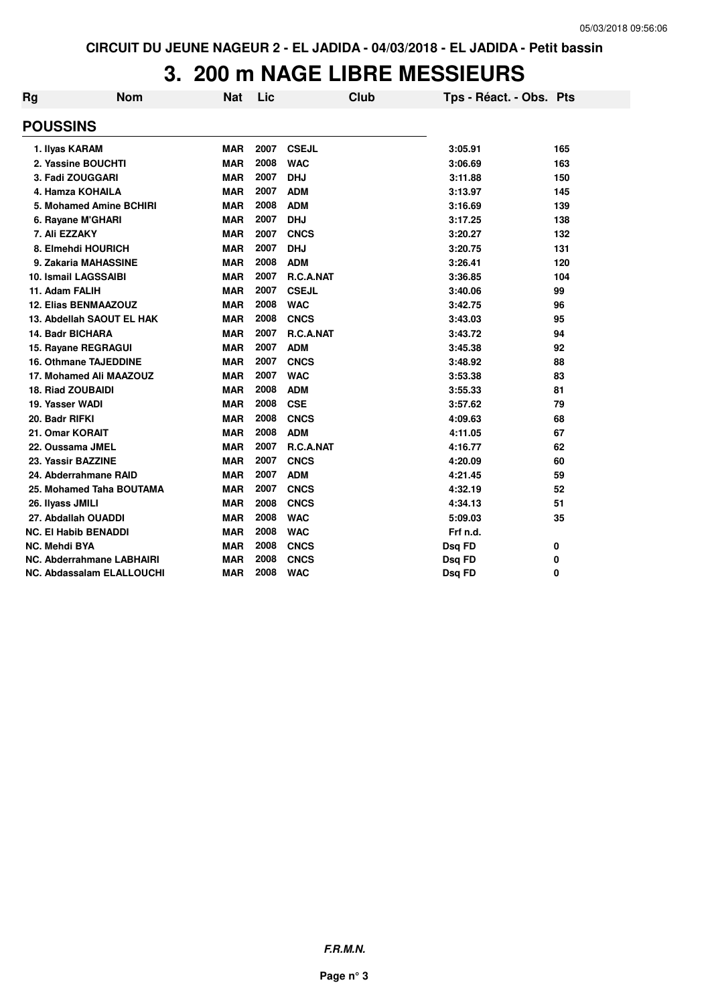## **3. 200 m NAGE LIBRE MESSIEURS**

| Rg                   | Nom                              | Nat        | Lic  | Club         | Tps - Réact. - Obs. Pts |     |
|----------------------|----------------------------------|------------|------|--------------|-------------------------|-----|
| <b>POUSSINS</b>      |                                  |            |      |              |                         |     |
|                      | 1. Ilyas KARAM                   | <b>MAR</b> | 2007 | <b>CSEJL</b> | 3:05.91                 | 165 |
|                      | 2. Yassine BOUCHTI               | <b>MAR</b> | 2008 | <b>WAC</b>   | 3:06.69                 | 163 |
|                      | 3. Fadi ZOUGGARI                 | <b>MAR</b> | 2007 | <b>DHJ</b>   | 3:11.88                 | 150 |
|                      | 4. Hamza KOHAILA                 | <b>MAR</b> | 2007 | <b>ADM</b>   | 3:13.97                 | 145 |
|                      | 5. Mohamed Amine BCHIRI          | <b>MAR</b> | 2008 | <b>ADM</b>   | 3:16.69                 | 139 |
|                      | 6. Rayane M'GHARI                | <b>MAR</b> | 2007 | <b>DHJ</b>   | 3:17.25                 | 138 |
| 7. Ali EZZAKY        |                                  | <b>MAR</b> | 2007 | <b>CNCS</b>  | 3:20.27                 | 132 |
|                      | 8. Elmehdi HOURICH               | <b>MAR</b> | 2007 | <b>DHJ</b>   | 3:20.75                 | 131 |
|                      | 9. Zakaria MAHASSINE             | <b>MAR</b> | 2008 | <b>ADM</b>   | 3:26.41                 | 120 |
|                      | <b>10. Ismail LAGSSAIBI</b>      | <b>MAR</b> | 2007 | R.C.A.NAT    | 3:36.85                 | 104 |
| 11. Adam FALIH       |                                  | <b>MAR</b> | 2007 | <b>CSEJL</b> | 3:40.06                 | 99  |
|                      | <b>12. Elias BENMAAZOUZ</b>      | <b>MAR</b> | 2008 | <b>WAC</b>   | 3:42.75                 | 96  |
|                      | 13. Abdellah SAOUT EL HAK        | <b>MAR</b> | 2008 | <b>CNCS</b>  | 3:43.03                 | 95  |
|                      | <b>14. Badr BICHARA</b>          | <b>MAR</b> | 2007 | R.C.A.NAT    | 3:43.72                 | 94  |
|                      | 15. Rayane REGRAGUI              | <b>MAR</b> | 2007 | <b>ADM</b>   | 3:45.38                 | 92  |
|                      | <b>16. Othmane TAJEDDINE</b>     | <b>MAR</b> | 2007 | <b>CNCS</b>  | 3:48.92                 | 88  |
|                      | 17. Mohamed Ali MAAZOUZ          | <b>MAR</b> | 2007 | <b>WAC</b>   | 3:53.38                 | 83  |
|                      | <b>18. Riad ZOUBAIDI</b>         | <b>MAR</b> | 2008 | <b>ADM</b>   | 3:55.33                 | 81  |
| 19. Yasser WADI      |                                  | <b>MAR</b> | 2008 | <b>CSE</b>   | 3:57.62                 | 79  |
| 20. Badr RIFKI       |                                  | <b>MAR</b> | 2008 | <b>CNCS</b>  | 4:09.63                 | 68  |
|                      | 21. Omar KORAIT                  | <b>MAR</b> | 2008 | <b>ADM</b>   | 4:11.05                 | 67  |
|                      | 22. Oussama JMEL                 | <b>MAR</b> | 2007 | R.C.A.NAT    | 4:16.77                 | 62  |
|                      | 23. Yassir BAZZINE               | <b>MAR</b> | 2007 | <b>CNCS</b>  | 4:20.09                 | 60  |
|                      | 24. Abderrahmane RAID            | <b>MAR</b> | 2007 | <b>ADM</b>   | 4:21.45                 | 59  |
|                      | 25. Mohamed Taha BOUTAMA         | <b>MAR</b> | 2007 | <b>CNCS</b>  | 4:32.19                 | 52  |
| 26. Ilyass JMILI     |                                  | <b>MAR</b> | 2008 | <b>CNCS</b>  | 4:34.13                 | 51  |
|                      | 27. Abdallah OUADDI              | <b>MAR</b> | 2008 | <b>WAC</b>   | 5:09.03                 | 35  |
|                      | <b>NC. El Habib BENADDI</b>      | <b>MAR</b> | 2008 | <b>WAC</b>   | Frf n.d.                |     |
| <b>NC. Mehdi BYA</b> |                                  | <b>MAR</b> | 2008 | <b>CNCS</b>  | Dsq FD                  | 0   |
|                      | NC. Abderrahmane LABHAIRI        | <b>MAR</b> | 2008 | <b>CNCS</b>  | Dsq FD                  | 0   |
|                      | <b>NC. Abdassalam ELALLOUCHI</b> | <b>MAR</b> | 2008 | <b>WAC</b>   | Dsq FD                  | 0   |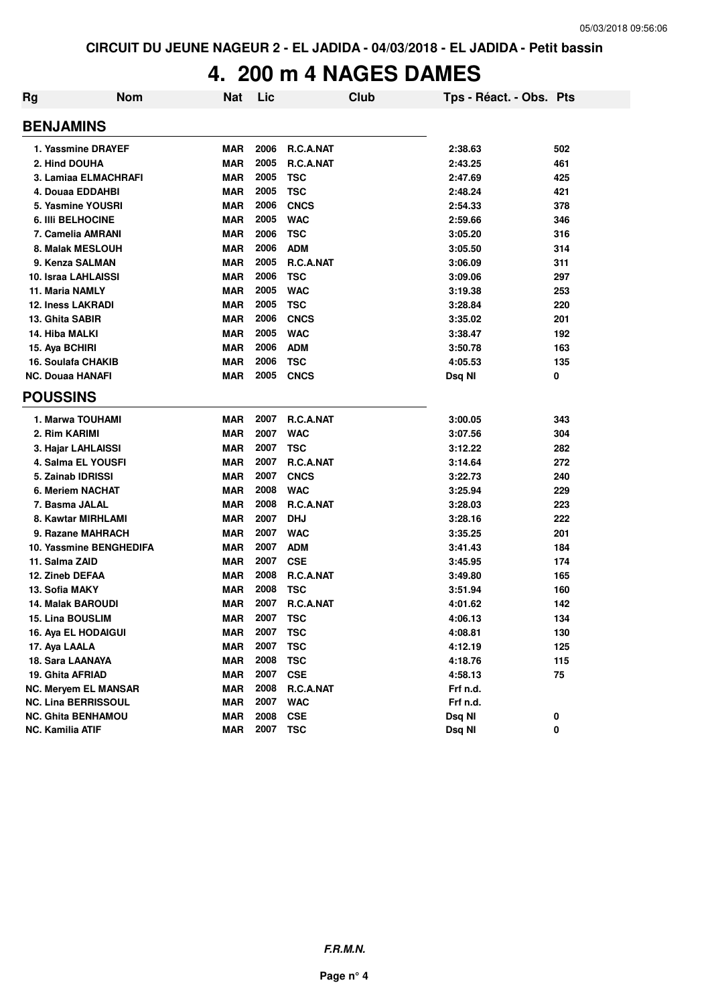## **4. 200 m 4 NAGES DAMES**

| Rg | <b>Nom</b>                  | <b>Nat</b> | Lic  | Club             | Tps - Réact. - Obs. Pts |     |
|----|-----------------------------|------------|------|------------------|-------------------------|-----|
|    | <b>BENJAMINS</b>            |            |      |                  |                         |     |
|    | 1. Yassmine DRAYEF          | <b>MAR</b> | 2006 | R.C.A.NAT        | 2:38.63                 | 502 |
|    | 2. Hind DOUHA               | <b>MAR</b> | 2005 | R.C.A.NAT        | 2:43.25                 | 461 |
|    | 3. Lamiaa ELMACHRAFI        | <b>MAR</b> | 2005 | <b>TSC</b>       | 2:47.69                 | 425 |
|    | 4. Douaa EDDAHBI            | <b>MAR</b> | 2005 | <b>TSC</b>       | 2:48.24                 | 421 |
|    | 5. Yasmine YOUSRI           | <b>MAR</b> | 2006 | <b>CNCS</b>      | 2:54.33                 | 378 |
|    | <b>6. IIII BELHOCINE</b>    | <b>MAR</b> | 2005 | <b>WAC</b>       | 2:59.66                 | 346 |
|    | 7. Camelia AMRANI           | <b>MAR</b> | 2006 | <b>TSC</b>       | 3:05.20                 | 316 |
|    | 8. Malak MESLOUH            | <b>MAR</b> | 2006 | <b>ADM</b>       | 3:05.50                 | 314 |
|    | 9. Kenza SALMAN             | <b>MAR</b> | 2005 | R.C.A.NAT        | 3:06.09                 | 311 |
|    | 10. Israa LAHLAISSI         | <b>MAR</b> | 2006 | <b>TSC</b>       | 3:09.06                 | 297 |
|    | 11. Maria NAMLY             | <b>MAR</b> | 2005 | <b>WAC</b>       | 3:19.38                 | 253 |
|    | <b>12. Iness LAKRADI</b>    | <b>MAR</b> | 2005 | <b>TSC</b>       | 3:28.84                 | 220 |
|    | 13. Ghita SABIR             | <b>MAR</b> | 2006 | <b>CNCS</b>      | 3:35.02                 | 201 |
|    | 14. Hiba MALKI              | <b>MAR</b> | 2005 | <b>WAC</b>       | 3:38.47                 | 192 |
|    | 15. Aya BCHIRI              | <b>MAR</b> | 2006 | <b>ADM</b>       | 3:50.78                 | 163 |
|    | <b>16. Soulafa CHAKIB</b>   | <b>MAR</b> | 2006 | <b>TSC</b>       | 4:05.53                 | 135 |
|    | <b>NC. Douaa HANAFI</b>     | <b>MAR</b> | 2005 | <b>CNCS</b>      | Dsg NI                  | 0   |
|    | <b>POUSSINS</b>             |            |      |                  |                         |     |
|    | 1. Marwa TOUHAMI            | <b>MAR</b> | 2007 | <b>R.C.A.NAT</b> | 3:00.05                 | 343 |
|    | 2. Rim KARIMI               | <b>MAR</b> | 2007 | <b>WAC</b>       | 3:07.56                 | 304 |
|    | 3. Hajar LAHLAISSI          | <b>MAR</b> | 2007 | <b>TSC</b>       | 3:12.22                 | 282 |
|    | 4. Salma EL YOUSFI          | <b>MAR</b> | 2007 | R.C.A.NAT        | 3:14.64                 | 272 |
|    | 5. Zainab IDRISSI           | <b>MAR</b> | 2007 | <b>CNCS</b>      | 3:22.73                 | 240 |
|    | 6. Meriem NACHAT            | MAR        | 2008 | <b>WAC</b>       | 3:25.94                 | 229 |
|    | 7. Basma JALAL              | <b>MAR</b> | 2008 | R.C.A.NAT        | 3:28.03                 | 223 |
|    | 8. Kawtar MIRHLAMI          | <b>MAR</b> | 2007 | <b>DHJ</b>       | 3:28.16                 | 222 |
|    | 9. Razane MAHRACH           | <b>MAR</b> | 2007 | <b>WAC</b>       | 3:35.25                 | 201 |
|    | 10. Yassmine BENGHEDIFA     | <b>MAR</b> | 2007 | <b>ADM</b>       | 3:41.43                 | 184 |
|    | 11. Salma ZAID              | <b>MAR</b> | 2007 | <b>CSE</b>       | 3:45.95                 | 174 |
|    | 12. Zineb DEFAA             | MAR        | 2008 | R.C.A.NAT        | 3:49.80                 | 165 |
|    | 13. Sofia MAKY              | MAR        | 2008 | <b>TSC</b>       | 3:51.94                 | 160 |
|    | <b>14. Malak BAROUDI</b>    | <b>MAR</b> | 2007 | R.C.A.NAT        | 4:01.62                 | 142 |
|    | <b>15. Lina BOUSLIM</b>     | <b>MAR</b> | 2007 | <b>TSC</b>       | 4:06.13                 | 134 |
|    | 16. Aya EL HODAIGUI         | <b>MAR</b> | 2007 | TSC              | 4:08.81                 | 130 |
|    | 17. Aya LAALA               | <b>MAR</b> | 2007 | <b>TSC</b>       | 4:12.19                 | 125 |
|    | 18. Sara LAANAYA            | <b>MAR</b> | 2008 | <b>TSC</b>       | 4:18.76                 | 115 |
|    | 19. Ghita AFRIAD            | <b>MAR</b> | 2007 | <b>CSE</b>       | 4:58.13                 | 75  |
|    | <b>NC. Meryem EL MANSAR</b> | <b>MAR</b> | 2008 | R.C.A.NAT        | Frf n.d.                |     |
|    | <b>NC. Lina BERRISSOUL</b>  | <b>MAR</b> | 2007 | <b>WAC</b>       | Frf n.d.                |     |
|    | NC. Ghita BENHAMOU          | <b>MAR</b> | 2008 | <b>CSE</b>       | Dsq NI                  | 0   |
|    | <b>NC. Kamilia ATIF</b>     | <b>MAR</b> | 2007 | <b>TSC</b>       | Dsq NI                  | 0   |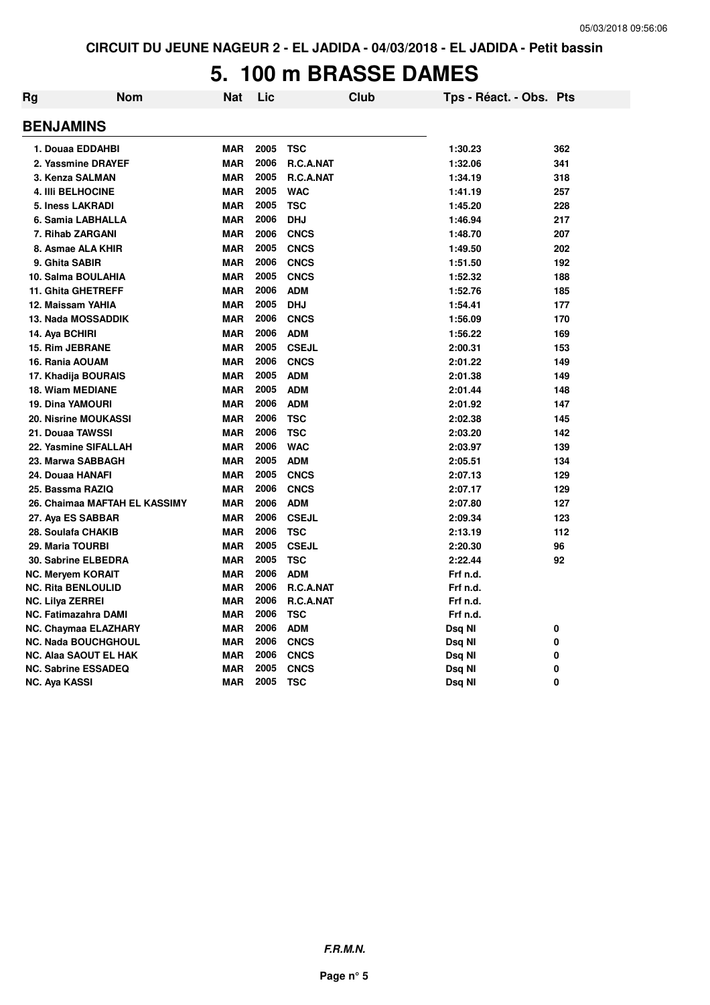#### **5. 100 m BRASSE DAMES**

| Rg                      | <b>Nom</b>                    | <b>Nat</b> | Lic  | Club         | Tps - Réact. - Obs. Pts |     |
|-------------------------|-------------------------------|------------|------|--------------|-------------------------|-----|
| <b>BENJAMINS</b>        |                               |            |      |              |                         |     |
|                         | 1. Douaa EDDAHBI              | <b>MAR</b> | 2005 | <b>TSC</b>   | 1:30.23                 | 362 |
|                         | 2. Yassmine DRAYEF            | <b>MAR</b> | 2006 | R.C.A.NAT    | 1:32.06                 | 341 |
|                         | 3. Kenza SALMAN               | <b>MAR</b> | 2005 | R.C.A.NAT    | 1:34.19                 | 318 |
|                         | <b>4. IIII BELHOCINE</b>      | <b>MAR</b> | 2005 | <b>WAC</b>   | 1:41.19                 | 257 |
|                         | <b>5. Iness LAKRADI</b>       | <b>MAR</b> | 2005 | <b>TSC</b>   | 1:45.20                 | 228 |
|                         | 6. Samia LABHALLA             | <b>MAR</b> | 2006 | <b>DHJ</b>   | 1:46.94                 | 217 |
|                         | 7. Rihab ZARGANI              | <b>MAR</b> | 2006 | <b>CNCS</b>  | 1:48.70                 | 207 |
|                         | 8. Asmae ALA KHIR             | <b>MAR</b> | 2005 | <b>CNCS</b>  | 1:49.50                 | 202 |
|                         | 9. Ghita SABIR                | <b>MAR</b> | 2006 | <b>CNCS</b>  | 1:51.50                 | 192 |
|                         | 10. Salma BOULAHIA            | <b>MAR</b> | 2005 | <b>CNCS</b>  | 1:52.32                 | 188 |
|                         | 11. Ghita GHETREFF            | <b>MAR</b> | 2006 | <b>ADM</b>   | 1:52.76                 | 185 |
|                         | 12. Maissam YAHIA             | <b>MAR</b> | 2005 | <b>DHJ</b>   | 1:54.41                 | 177 |
|                         | 13. Nada MOSSADDIK            | <b>MAR</b> | 2006 | <b>CNCS</b>  | 1:56.09                 | 170 |
| 14. Aya BCHIRI          |                               | <b>MAR</b> | 2006 | <b>ADM</b>   | 1:56.22                 | 169 |
|                         | 15. Rim JEBRANE               | <b>MAR</b> | 2005 | <b>CSEJL</b> | 2:00.31                 | 153 |
|                         | 16. Rania AOUAM               | <b>MAR</b> | 2006 | <b>CNCS</b>  | 2:01.22                 | 149 |
|                         | 17. Khadija BOURAIS           | <b>MAR</b> | 2005 | <b>ADM</b>   | 2:01.38                 | 149 |
|                         | <b>18. Wiam MEDIANE</b>       | <b>MAR</b> | 2005 | <b>ADM</b>   | 2:01.44                 | 148 |
|                         | 19. Dina YAMOURI              | <b>MAR</b> | 2006 | <b>ADM</b>   | 2:01.92                 | 147 |
|                         | 20. Nisrine MOUKASSI          | <b>MAR</b> | 2006 | <b>TSC</b>   | 2:02.38                 | 145 |
|                         | 21. Douaa TAWSSI              | <b>MAR</b> | 2006 | <b>TSC</b>   | 2:03.20                 | 142 |
|                         | 22. Yasmine SIFALLAH          | <b>MAR</b> | 2006 | <b>WAC</b>   | 2:03.97                 | 139 |
|                         | 23. Marwa SABBAGH             | <b>MAR</b> | 2005 | <b>ADM</b>   | 2:05.51                 | 134 |
|                         | 24. Douaa HANAFI              | <b>MAR</b> | 2005 | <b>CNCS</b>  | 2:07.13                 | 129 |
|                         | 25. Bassma RAZIQ              | <b>MAR</b> | 2006 | <b>CNCS</b>  | 2:07.17                 | 129 |
|                         | 26. Chaimaa MAFTAH EL KASSIMY | <b>MAR</b> | 2006 | <b>ADM</b>   | 2:07.80                 | 127 |
|                         | 27. Aya ES SABBAR             | <b>MAR</b> | 2006 | <b>CSEJL</b> | 2:09.34                 | 123 |
|                         | 28. Soulafa CHAKIB            | <b>MAR</b> | 2006 | <b>TSC</b>   | 2:13.19                 | 112 |
|                         | 29. Maria TOURBI              | <b>MAR</b> | 2005 | <b>CSEJL</b> | 2:20.30                 | 96  |
|                         | <b>30. Sabrine ELBEDRA</b>    | <b>MAR</b> | 2005 | <b>TSC</b>   | 2:22.44                 | 92  |
|                         | <b>NC. Meryem KORAIT</b>      | <b>MAR</b> | 2006 | <b>ADM</b>   | Frf n.d.                |     |
|                         | <b>NC. Rita BENLOULID</b>     | <b>MAR</b> | 2006 | R.C.A.NAT    | Frf n.d.                |     |
| <b>NC. Lilya ZERREI</b> |                               | <b>MAR</b> | 2006 | R.C.A.NAT    | Frf n.d.                |     |
|                         | <b>NC. Fatimazahra DAMI</b>   | MAR        | 2006 | <b>TSC</b>   | Frf n.d.                |     |
|                         | <b>NC. Chaymaa ELAZHARY</b>   | <b>MAR</b> | 2006 | <b>ADM</b>   | Dsq NI                  | 0   |
|                         | <b>NC. Nada BOUCHGHOUL</b>    | <b>MAR</b> | 2006 | <b>CNCS</b>  | Dsq NI                  | 0   |
|                         | <b>NC. Alaa SAOUT EL HAK</b>  | <b>MAR</b> | 2006 | <b>CNCS</b>  | Dsq NI                  | 0   |
|                         | <b>NC. Sabrine ESSADEQ</b>    | <b>MAR</b> | 2005 | <b>CNCS</b>  | Dsq NI                  | 0   |
| <b>NC. Aya KASSI</b>    |                               | <b>MAR</b> | 2005 | <b>TSC</b>   | Dsq NI                  | 0   |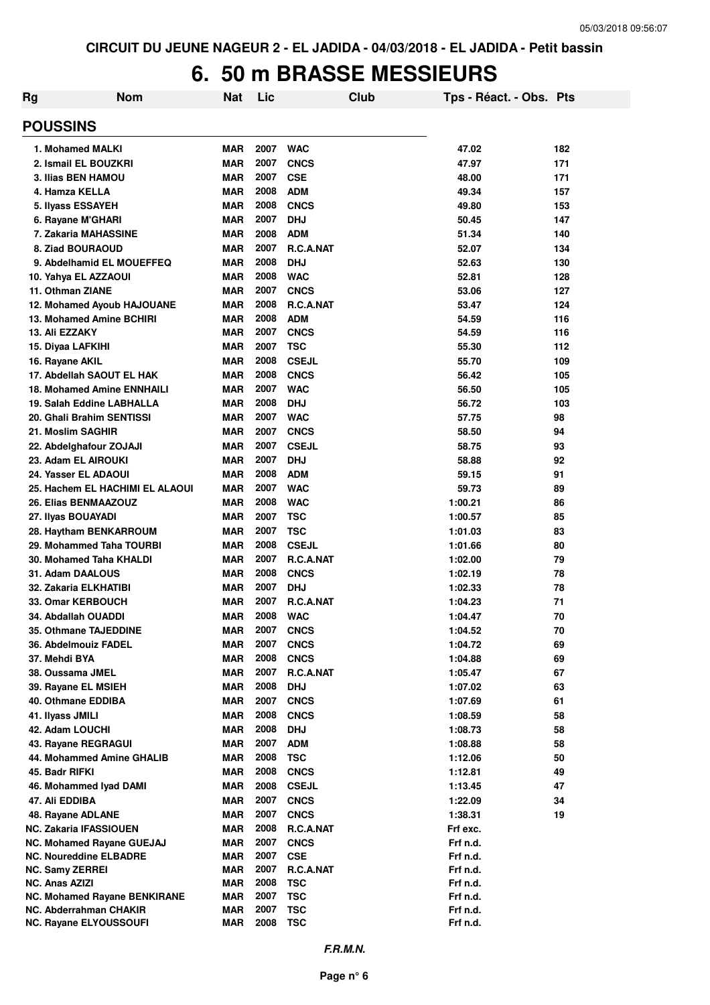#### **6. 50 m BRASSE MESSIEURS**

| Rg                                                      | <b>Nom</b>                      | <b>Nat</b>               | Lic          |                            | Club | Tps - Réact. - Obs. Pts |          |
|---------------------------------------------------------|---------------------------------|--------------------------|--------------|----------------------------|------|-------------------------|----------|
| <b>POUSSINS</b>                                         |                                 |                          |              |                            |      |                         |          |
| 1. Mohamed MALKI                                        |                                 | <b>MAR</b>               | 2007         | <b>WAC</b>                 |      | 47.02                   | 182      |
| 2. Ismail EL BOUZKRI                                    |                                 | <b>MAR</b>               | 2007         | <b>CNCS</b>                |      | 47.97                   | 171      |
| 3. Ilias BEN HAMOU                                      |                                 | <b>MAR</b>               | 2007         | <b>CSE</b>                 |      | 48.00                   | 171      |
| 4. Hamza KELLA                                          |                                 | <b>MAR</b>               | 2008         | <b>ADM</b>                 |      | 49.34                   | 157      |
| 5. Ilyass ESSAYEH                                       |                                 | <b>MAR</b>               | 2008         | <b>CNCS</b>                |      | 49.80                   | 153      |
| 6. Rayane M'GHARI                                       |                                 | <b>MAR</b>               | 2007         | <b>DHJ</b>                 |      | 50.45                   | 147      |
| 7. Zakaria MAHASSINE                                    |                                 | <b>MAR</b>               | 2008         | <b>ADM</b>                 |      | 51.34                   | 140      |
| 8. Ziad BOURAOUD                                        |                                 | <b>MAR</b>               | 2007         | <b>R.C.A.NAT</b>           |      | 52.07                   | 134      |
| 9. Abdelhamid EL MOUEFFEQ                               |                                 | <b>MAR</b>               | 2008         | <b>DHJ</b>                 |      | 52.63                   | 130      |
| 10. Yahya EL AZZAOUI                                    |                                 | <b>MAR</b>               | 2008         | <b>WAC</b>                 |      | 52.81                   | 128      |
| 11. Othman ZIANE                                        |                                 | <b>MAR</b>               | 2007         | <b>CNCS</b>                |      | 53.06                   | 127      |
| 12. Mohamed Ayoub HAJOUANE                              |                                 | <b>MAR</b>               | 2008         | <b>R.C.A.NAT</b>           |      | 53.47                   | 124      |
| 13. Mohamed Amine BCHIRI                                |                                 | <b>MAR</b>               | 2008         | <b>ADM</b>                 |      | 54.59                   | 116      |
| 13. Ali EZZAKY                                          |                                 | <b>MAR</b>               | 2007         | <b>CNCS</b>                |      | 54.59                   | 116      |
| 15. Diyaa LAFKIHI                                       |                                 | <b>MAR</b>               | 2007         | <b>TSC</b>                 |      | 55.30                   | 112      |
| 16. Rayane AKIL                                         |                                 | <b>MAR</b>               | 2008         | <b>CSEJL</b>               |      | 55.70                   | 109      |
| 17. Abdellah SAOUT EL HAK                               |                                 | <b>MAR</b>               | 2008         | <b>CNCS</b>                |      | 56.42                   | 105      |
| <b>18. Mohamed Amine ENNHAILI</b>                       |                                 | <b>MAR</b>               | 2007         | <b>WAC</b>                 |      | 56.50                   | 105      |
| 19. Salah Eddine LABHALLA                               |                                 | <b>MAR</b>               | 2008         | <b>DHJ</b>                 |      | 56.72                   | 103      |
| 20. Ghali Brahim SENTISSI                               |                                 | <b>MAR</b>               | 2007         | <b>WAC</b>                 |      | 57.75                   | 98       |
| 21. Moslim SAGHIR                                       |                                 | <b>MAR</b>               | 2007         | <b>CNCS</b>                |      | 58.50                   | 94       |
| 22. Abdelghafour ZOJAJI                                 |                                 | <b>MAR</b>               | 2007<br>2007 | <b>CSEJL</b><br><b>DHJ</b> |      | 58.75                   | 93<br>92 |
| 23. Adam EL AIROUKI                                     |                                 | <b>MAR</b><br><b>MAR</b> | 2008         | <b>ADM</b>                 |      | 58.88                   |          |
| 24. Yasser EL ADAOUI                                    |                                 | <b>MAR</b>               | 2007         | <b>WAC</b>                 |      | 59.15<br>59.73          | 91<br>89 |
| 26. Elias BENMAAZOUZ                                    | 25. Hachem EL HACHIMI EL ALAOUI | <b>MAR</b>               | 2008         | <b>WAC</b>                 |      | 1:00.21                 | 86       |
| 27. Ilyas BOUAYADI                                      |                                 | <b>MAR</b>               | 2007         | <b>TSC</b>                 |      | 1:00.57                 | 85       |
| 28. Haytham BENKARROUM                                  |                                 | <b>MAR</b>               | 2007         | <b>TSC</b>                 |      | 1:01.03                 | 83       |
| 29. Mohammed Taha TOURBI                                |                                 | <b>MAR</b>               | 2008         | <b>CSEJL</b>               |      | 1:01.66                 | 80       |
| 30. Mohamed Taha KHALDI                                 |                                 | <b>MAR</b>               | 2007         | R.C.A.NAT                  |      | 1:02.00                 | 79       |
| 31. Adam DAALOUS                                        |                                 | <b>MAR</b>               | 2008         | <b>CNCS</b>                |      | 1:02.19                 | 78       |
| 32. Zakaria ELKHATIBI                                   |                                 | <b>MAR</b>               | 2007         | <b>DHJ</b>                 |      | 1:02.33                 | 78       |
| 33. Omar KERBOUCH                                       |                                 | <b>MAR</b>               | 2007         | R.C.A.NAT                  |      | 1:04.23                 | 71       |
| 34. Abdallah OUADDI                                     |                                 | <b>MAR</b>               | 2008         | <b>WAC</b>                 |      | 1:04.47                 | 70       |
| <b>35. Othmane TAJEDDINE</b>                            |                                 | MAR                      | 2007         | <b>CNCS</b>                |      | 1:04.52                 | 70       |
| 36. Abdelmouiz FADEL                                    |                                 | <b>MAR</b>               | 2007         | <b>CNCS</b>                |      | 1:04.72                 | 69       |
| 37. Mehdi BYA                                           |                                 | <b>MAR</b>               | 2008         | <b>CNCS</b>                |      | 1:04.88                 | 69       |
| 38. Oussama JMEL                                        |                                 | <b>MAR</b>               | 2007         | R.C.A.NAT                  |      | 1:05.47                 | 67       |
| 39. Rayane EL MSIEH                                     |                                 | <b>MAR</b>               | 2008         | <b>DHJ</b>                 |      | 1:07.02                 | 63       |
| 40. Othmane EDDIBA                                      |                                 | <b>MAR</b>               | 2007         | <b>CNCS</b>                |      | 1:07.69                 | 61       |
| 41. Ilyass JMILI                                        |                                 | <b>MAR</b>               | 2008         | <b>CNCS</b>                |      | 1:08.59                 | 58       |
| 42. Adam LOUCHI                                         |                                 | <b>MAR</b>               | 2008         | <b>DHJ</b>                 |      | 1:08.73                 | 58       |
| 43. Rayane REGRAGUI                                     |                                 | <b>MAR</b>               | 2007         | <b>ADM</b>                 |      | 1:08.88                 | 58       |
| 44. Mohammed Amine GHALIB                               |                                 | <b>MAR</b>               | 2008         | <b>TSC</b>                 |      | 1:12.06                 | 50       |
| 45. Badr RIFKI                                          |                                 | MAR                      | 2008         | <b>CNCS</b>                |      | 1:12.81                 | 49       |
| 46. Mohammed Iyad DAMI                                  |                                 | <b>MAR</b>               | 2008         | <b>CSEJL</b>               |      | 1:13.45                 | 47       |
| 47. Ali EDDIBA                                          |                                 | <b>MAR</b>               | 2007         | <b>CNCS</b>                |      | 1:22.09                 | 34       |
| 48. Rayane ADLANE                                       |                                 | <b>MAR</b>               | 2007         | <b>CNCS</b>                |      | 1:38.31                 | 19       |
| <b>NC. Zakaria IFASSIOUEN</b>                           |                                 | <b>MAR</b>               | 2008         | R.C.A.NAT                  |      | Frf exc.                |          |
| <b>NC. Mohamed Rayane GUEJAJ</b>                        |                                 | <b>MAR</b>               | 2007         | <b>CNCS</b>                |      | Frf n.d.                |          |
| <b>NC. Noureddine ELBADRE</b>                           |                                 | <b>MAR</b>               | 2007         | <b>CSE</b>                 |      | Frf n.d.                |          |
| <b>NC. Samy ZERREI</b>                                  |                                 | <b>MAR</b>               | 2007         | R.C.A.NAT                  |      | Frf n.d.                |          |
| <b>NC. Anas AZIZI</b>                                   |                                 | <b>MAR</b>               | 2008         | <b>TSC</b>                 |      | Frf n.d.                |          |
| <b>NC. Mohamed Rayane BENKIRANE</b>                     |                                 | <b>MAR</b>               | 2007         | <b>TSC</b>                 |      | Frf n.d.                |          |
| NC. Abderrahman CHAKIR<br><b>NC. Rayane ELYOUSSOUFI</b> |                                 | MAR<br><b>MAR</b>        | 2007<br>2008 | TSC<br><b>TSC</b>          |      | Frf n.d.<br>Frf n.d.    |          |
|                                                         |                                 |                          |              |                            |      |                         |          |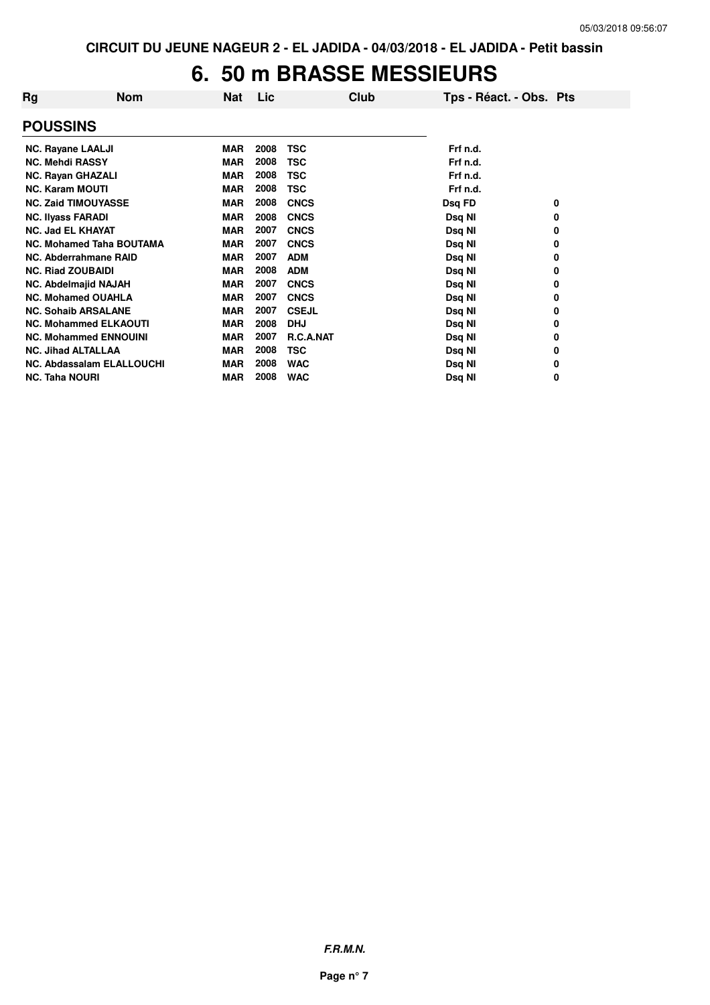## **6. 50 m BRASSE MESSIEURS**

| Rg                        | <b>Nom</b>                       | Nat        | Lic  | Club             | Tps - Réact. - Obs. Pts |   |
|---------------------------|----------------------------------|------------|------|------------------|-------------------------|---|
| <b>POUSSINS</b>           |                                  |            |      |                  |                         |   |
| <b>NC. Rayane LAALJI</b>  |                                  | <b>MAR</b> | 2008 | <b>TSC</b>       | Frf n.d.                |   |
| <b>NC. Mehdi RASSY</b>    |                                  | <b>MAR</b> | 2008 | TSC              | Frf n.d.                |   |
| <b>NC. Rayan GHAZALI</b>  |                                  | <b>MAR</b> | 2008 | <b>TSC</b>       | Frf n.d.                |   |
| <b>NC. Karam MOUTI</b>    |                                  | <b>MAR</b> | 2008 | <b>TSC</b>       | Frf n.d.                |   |
|                           | <b>NC. Zaid TIMOUYASSE</b>       | <b>MAR</b> | 2008 | <b>CNCS</b>      | Dsq FD                  | 0 |
| <b>NC. Ilyass FARADI</b>  |                                  | <b>MAR</b> | 2008 | <b>CNCS</b>      | Dsq NI                  | 0 |
| <b>NC. Jad EL KHAYAT</b>  |                                  | <b>MAR</b> | 2007 | <b>CNCS</b>      | Dsq NI                  | 0 |
|                           | <b>NC. Mohamed Taha BOUTAMA</b>  | <b>MAR</b> | 2007 | <b>CNCS</b>      | Dsq NI                  | 0 |
|                           | NC. Abderrahmane RAID            | <b>MAR</b> | 2007 | <b>ADM</b>       | Dsq NI                  | 0 |
| <b>NC. Riad ZOUBAIDI</b>  |                                  | <b>MAR</b> | 2008 | <b>ADM</b>       | Dsq NI                  | 0 |
|                           | <b>NC. Abdelmajid NAJAH</b>      | <b>MAR</b> | 2007 | <b>CNCS</b>      | Dsq NI                  | 0 |
|                           | <b>NC. Mohamed OUAHLA</b>        | <b>MAR</b> | 2007 | <b>CNCS</b>      | Dsq NI                  | 0 |
|                           | <b>NC. Sohaib ARSALANE</b>       | <b>MAR</b> | 2007 | <b>CSEJL</b>     | Dsq NI                  | 0 |
|                           | <b>NC. Mohammed ELKAOUTI</b>     | <b>MAR</b> | 2008 | <b>DHJ</b>       | Dsq NI                  | 0 |
|                           | <b>NC. Mohammed ENNOUINI</b>     | <b>MAR</b> | 2007 | <b>R.C.A.NAT</b> | Dsq NI                  | 0 |
| <b>NC. Jihad ALTALLAA</b> |                                  | <b>MAR</b> | 2008 | <b>TSC</b>       | Dsq NI                  | 0 |
|                           | <b>NC. Abdassalam ELALLOUCHI</b> | <b>MAR</b> | 2008 | <b>WAC</b>       | Dsq NI                  | 0 |
| <b>NC. Taha NOURI</b>     |                                  | <b>MAR</b> | 2008 | <b>WAC</b>       | Dsq NI                  | 0 |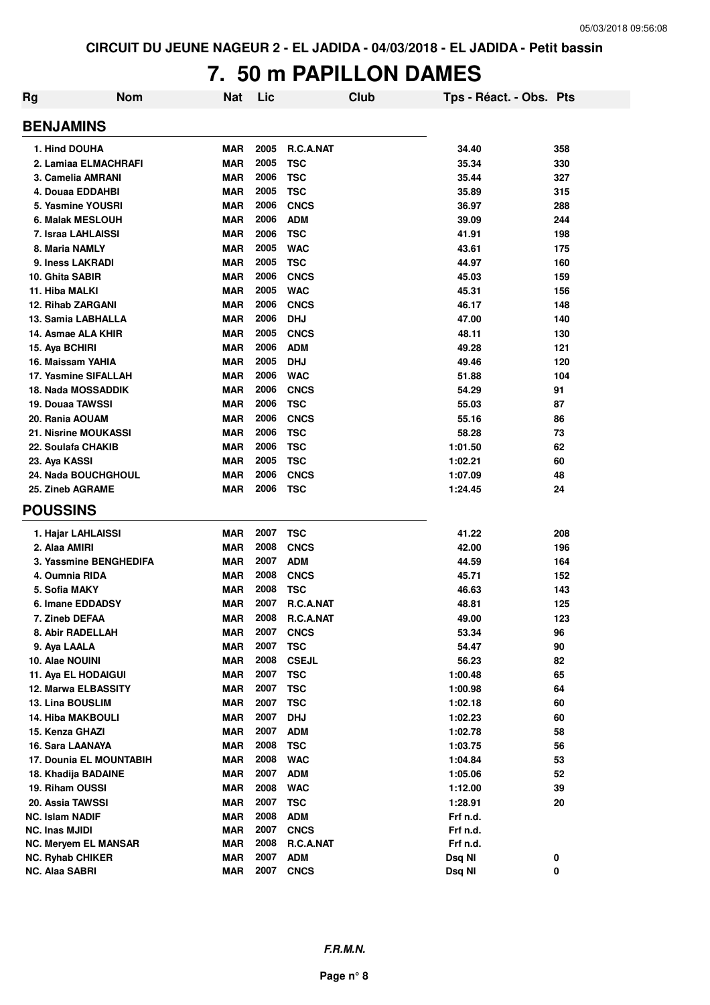## **7. 50 m PAPILLON DAMES**

| Rg | <b>Nom</b>                     | Nat        | Lic  | Club             | Tps - Réact. - Obs. Pts |     |
|----|--------------------------------|------------|------|------------------|-------------------------|-----|
|    | <b>BENJAMINS</b>               |            |      |                  |                         |     |
|    | 1. Hind DOUHA                  | MAR        | 2005 | <b>R.C.A.NAT</b> | 34.40                   | 358 |
|    | 2. Lamiaa ELMACHRAFI           | MAR        | 2005 | <b>TSC</b>       | 35.34                   | 330 |
|    | 3. Camelia AMRANI              | <b>MAR</b> | 2006 | <b>TSC</b>       | 35.44                   | 327 |
|    | 4. Douaa EDDAHBI               | <b>MAR</b> | 2005 | <b>TSC</b>       | 35.89                   | 315 |
|    | 5. Yasmine YOUSRI              | <b>MAR</b> | 2006 | <b>CNCS</b>      | 36.97                   | 288 |
|    | 6. Malak MESLOUH               | <b>MAR</b> | 2006 | <b>ADM</b>       | 39.09                   | 244 |
|    | 7. Israa LAHLAISSI             | <b>MAR</b> | 2006 | <b>TSC</b>       | 41.91                   | 198 |
|    | 8. Maria NAMLY                 | <b>MAR</b> | 2005 | <b>WAC</b>       | 43.61                   | 175 |
|    | 9. Iness LAKRADI               | <b>MAR</b> | 2005 | <b>TSC</b>       | 44.97                   | 160 |
|    | 10. Ghita SABIR                | <b>MAR</b> | 2006 | <b>CNCS</b>      | 45.03                   | 159 |
|    | 11. Hiba MALKI                 | <b>MAR</b> | 2005 | <b>WAC</b>       | 45.31                   | 156 |
|    | <b>12. Rihab ZARGANI</b>       | <b>MAR</b> | 2006 | <b>CNCS</b>      | 46.17                   | 148 |
|    | 13. Samia LABHALLA             | <b>MAR</b> | 2006 | <b>DHJ</b>       | 47.00                   | 140 |
|    | 14. Asmae ALA KHIR             | <b>MAR</b> | 2005 | <b>CNCS</b>      | 48.11                   | 130 |
|    | 15. Aya BCHIRI                 | <b>MAR</b> | 2006 | <b>ADM</b>       | 49.28                   | 121 |
|    | 16. Maissam YAHIA              | <b>MAR</b> | 2005 | <b>DHJ</b>       | 49.46                   | 120 |
|    | 17. Yasmine SIFALLAH           | <b>MAR</b> | 2006 | <b>WAC</b>       | 51.88                   | 104 |
|    | <b>18. Nada MOSSADDIK</b>      | <b>MAR</b> | 2006 | <b>CNCS</b>      | 54.29                   | 91  |
|    | 19. Douaa TAWSSI               | <b>MAR</b> | 2006 | <b>TSC</b>       | 55.03                   | 87  |
|    | 20. Rania AOUAM                | <b>MAR</b> | 2006 | <b>CNCS</b>      | 55.16                   | 86  |
|    | <b>21. Nisrine MOUKASSI</b>    | <b>MAR</b> | 2006 | <b>TSC</b>       | 58.28                   | 73  |
|    | 22. Soulafa CHAKIB             | <b>MAR</b> | 2006 | <b>TSC</b>       | 1:01.50                 | 62  |
|    | 23. Aya KASSI                  | <b>MAR</b> | 2005 | <b>TSC</b>       | 1:02.21                 | 60  |
|    | 24. Nada BOUCHGHOUL            | <b>MAR</b> | 2006 | <b>CNCS</b>      | 1:07.09                 | 48  |
|    | 25. Zineb AGRAME               | MAR        | 2006 | <b>TSC</b>       | 1:24.45                 | 24  |
|    | <b>POUSSINS</b>                |            |      |                  |                         |     |
|    | 1. Hajar LAHLAISSI             | <b>MAR</b> | 2007 | <b>TSC</b>       | 41.22                   | 208 |
|    | 2. Alaa AMIRI                  | <b>MAR</b> | 2008 | <b>CNCS</b>      | 42.00                   | 196 |
|    | 3. Yassmine BENGHEDIFA         | <b>MAR</b> | 2007 | <b>ADM</b>       | 44.59                   | 164 |
|    | 4. Oumnia RIDA                 | <b>MAR</b> | 2008 | <b>CNCS</b>      | 45.71                   | 152 |
|    | 5. Sofia MAKY                  | <b>MAR</b> | 2008 | <b>TSC</b>       | 46.63                   | 143 |
|    | 6. Imane EDDADSY               | <b>MAR</b> | 2007 | R.C.A.NAT        | 48.81                   | 125 |
|    | 7. Zineb DEFAA                 | MAR        | 2008 | R.C.A.NAT        | 49.00                   | 123 |
|    | 8. Abir RADELLAH               | <b>MAR</b> | 2007 | <b>CNCS</b>      | 53.34                   | 96  |
|    | 9. Aya LAALA                   | <b>MAR</b> | 2007 | <b>TSC</b>       | 54.47                   | 90  |
|    | 10. Alae NOUINI                | <b>MAR</b> | 2008 | <b>CSEJL</b>     | 56.23                   | 82  |
|    | 11. Aya EL HODAIGUI            | <b>MAR</b> | 2007 | <b>TSC</b>       | 1:00.48                 | 65  |
|    | 12. Marwa ELBASSITY            | <b>MAR</b> | 2007 | <b>TSC</b>       | 1:00.98                 | 64  |
|    | 13. Lina BOUSLIM               | <b>MAR</b> | 2007 | <b>TSC</b>       | 1:02.18                 | 60  |
|    | <b>14. Hiba MAKBOULI</b>       | <b>MAR</b> | 2007 | <b>DHJ</b>       | 1:02.23                 | 60  |
|    | 15. Kenza GHAZI                | <b>MAR</b> | 2007 | <b>ADM</b>       | 1:02.78                 | 58  |
|    | 16. Sara LAANAYA               | <b>MAR</b> | 2008 | <b>TSC</b>       | 1:03.75                 | 56  |
|    | <b>17. Dounia EL MOUNTABIH</b> | <b>MAR</b> | 2008 | <b>WAC</b>       | 1:04.84                 | 53  |
|    | 18. Khadija BADAINE            | <b>MAR</b> | 2007 | <b>ADM</b>       | 1:05.06                 | 52  |
|    | 19. Riham OUSSI                | <b>MAR</b> | 2008 | <b>WAC</b>       | 1:12.00                 | 39  |
|    | 20. Assia TAWSSI               | <b>MAR</b> | 2007 | <b>TSC</b>       | 1:28.91                 | 20  |
|    | <b>NC. Islam NADIF</b>         | <b>MAR</b> | 2008 | <b>ADM</b>       | Frf n.d.                |     |
|    | NC. Inas MJIDI                 | <b>MAR</b> | 2007 | <b>CNCS</b>      | Frf n.d.                |     |
|    | NC. Meryem EL MANSAR           | <b>MAR</b> | 2008 | R.C.A.NAT        | Frf n.d.                |     |
|    | <b>NC. Ryhab CHIKER</b>        | <b>MAR</b> | 2007 | <b>ADM</b>       | Dsq NI                  | 0   |
|    | <b>NC. Alaa SABRI</b>          | <b>MAR</b> | 2007 | <b>CNCS</b>      | Dsq NI                  | 0   |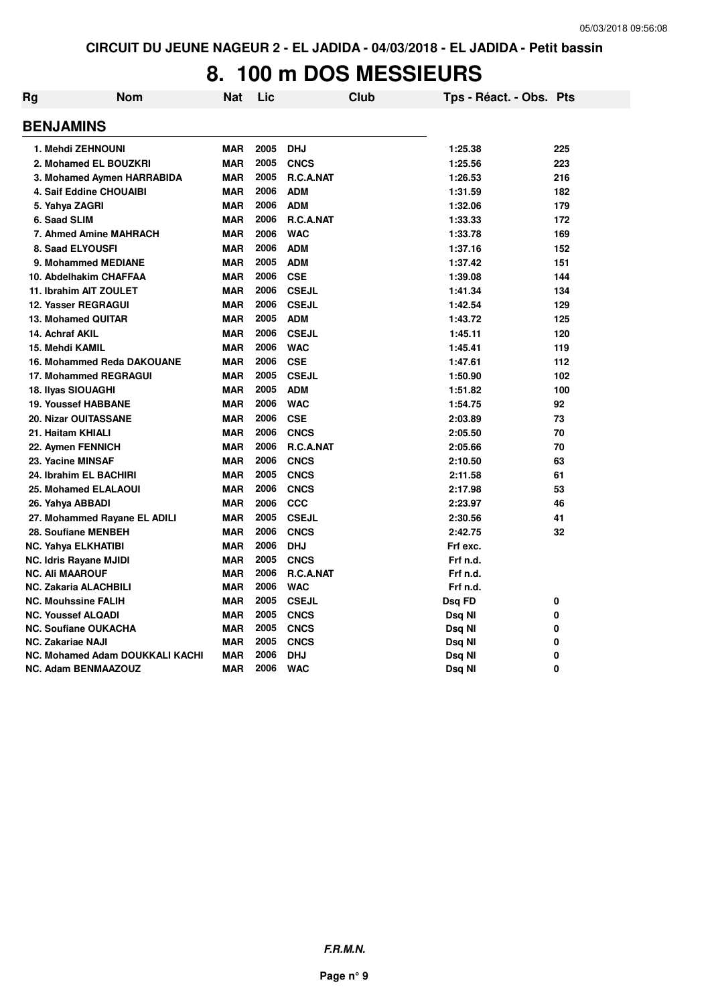## **8. 100 m DOS MESSIEURS**

| Rg | <b>Nom</b>                             | Nat        | Lic  | <b>Club</b>      | Tps - Réact. - Obs. Pts |     |
|----|----------------------------------------|------------|------|------------------|-------------------------|-----|
|    | <b>BENJAMINS</b>                       |            |      |                  |                         |     |
|    | 1. Mehdi ZEHNOUNI                      | <b>MAR</b> | 2005 | <b>DHJ</b>       | 1:25.38                 | 225 |
|    | 2. Mohamed EL BOUZKRI                  | <b>MAR</b> | 2005 | <b>CNCS</b>      | 1:25.56                 | 223 |
|    | 3. Mohamed Aymen HARRABIDA             | <b>MAR</b> | 2005 | <b>R.C.A.NAT</b> | 1:26.53                 | 216 |
|    | 4. Saif Eddine CHOUAIBI                | <b>MAR</b> | 2006 | <b>ADM</b>       | 1:31.59                 | 182 |
|    | 5. Yahya ZAGRI                         | <b>MAR</b> | 2006 | <b>ADM</b>       | 1:32.06                 | 179 |
|    | 6. Saad SLIM                           | <b>MAR</b> | 2006 | R.C.A.NAT        | 1:33.33                 | 172 |
|    | 7. Ahmed Amine MAHRACH                 | <b>MAR</b> | 2006 | <b>WAC</b>       | 1:33.78                 | 169 |
|    | 8. Saad ELYOUSFI                       | <b>MAR</b> | 2006 | <b>ADM</b>       | 1:37.16                 | 152 |
|    | 9. Mohammed MEDIANE                    | <b>MAR</b> | 2005 | <b>ADM</b>       | 1:37.42                 | 151 |
|    | 10. Abdelhakim CHAFFAA                 | <b>MAR</b> | 2006 | <b>CSE</b>       | 1:39.08                 | 144 |
|    | 11. Ibrahim AIT ZOULET                 | <b>MAR</b> | 2006 | <b>CSEJL</b>     | 1:41.34                 | 134 |
|    | 12. Yasser REGRAGUI                    | <b>MAR</b> | 2006 | <b>CSEJL</b>     | 1:42.54                 | 129 |
|    | 13. Mohamed QUITAR                     | <b>MAR</b> | 2005 | <b>ADM</b>       | 1:43.72                 | 125 |
|    | 14. Achraf AKIL                        | <b>MAR</b> | 2006 | <b>CSEJL</b>     | 1:45.11                 | 120 |
|    | 15. Mehdi KAMIL                        | <b>MAR</b> | 2006 | <b>WAC</b>       | 1:45.41                 | 119 |
|    | 16. Mohammed Reda DAKOUANE             | <b>MAR</b> | 2006 | <b>CSE</b>       | 1:47.61                 | 112 |
|    | 17. Mohammed REGRAGUI                  | <b>MAR</b> | 2005 | <b>CSEJL</b>     | 1:50.90                 | 102 |
|    | 18. Ilyas SIOUAGHI                     | <b>MAR</b> | 2005 | <b>ADM</b>       | 1:51.82                 | 100 |
|    | <b>19. Youssef HABBANE</b>             | <b>MAR</b> | 2006 | <b>WAC</b>       | 1:54.75                 | 92  |
|    | <b>20. Nizar OUITASSANE</b>            | <b>MAR</b> | 2006 | <b>CSE</b>       | 2:03.89                 | 73  |
|    | 21. Haitam KHIALI                      | <b>MAR</b> | 2006 | <b>CNCS</b>      | 2:05.50                 | 70  |
|    | 22. Aymen FENNICH                      | <b>MAR</b> | 2006 | <b>R.C.A.NAT</b> | 2:05.66                 | 70  |
|    | 23. Yacine MINSAF                      | <b>MAR</b> | 2006 | <b>CNCS</b>      | 2:10.50                 | 63  |
|    | 24. Ibrahim EL BACHIRI                 | <b>MAR</b> | 2005 | <b>CNCS</b>      | 2:11.58                 | 61  |
|    | 25. Mohamed ELALAOUI                   | <b>MAR</b> | 2006 | <b>CNCS</b>      | 2:17.98                 | 53  |
|    | 26. Yahya ABBADI                       | <b>MAR</b> | 2006 | <b>CCC</b>       | 2:23.97                 | 46  |
|    | 27. Mohammed Rayane EL ADILI           | <b>MAR</b> | 2005 | <b>CSEJL</b>     | 2:30.56                 | 41  |
|    | 28. Soufiane MENBEH                    | <b>MAR</b> | 2006 | <b>CNCS</b>      | 2:42.75                 | 32  |
|    | NC. Yahya ELKHATIBI                    | <b>MAR</b> | 2006 | <b>DHJ</b>       | Frf exc.                |     |
|    | <b>NC. Idris Rayane MJIDI</b>          | <b>MAR</b> | 2005 | <b>CNCS</b>      | Frf n.d.                |     |
|    | <b>NC. Ali MAAROUF</b>                 | <b>MAR</b> | 2006 | R.C.A.NAT        | Frf n.d.                |     |
|    | NC. Zakaria ALACHBILI                  | <b>MAR</b> | 2006 | <b>WAC</b>       | Frf n.d.                |     |
|    | <b>NC. Mouhssine FALIH</b>             | <b>MAR</b> | 2005 | <b>CSEJL</b>     | Dsq FD                  | 0   |
|    | <b>NC. Youssef ALQADI</b>              | <b>MAR</b> | 2005 | <b>CNCS</b>      | Dsq NI                  | 0   |
|    | <b>NC. Soufiane OUKACHA</b>            | <b>MAR</b> | 2005 | <b>CNCS</b>      | Dsq NI                  | 0   |
|    | <b>NC. Zakariae NAJI</b>               | <b>MAR</b> | 2005 | <b>CNCS</b>      | Dsq NI                  | 0   |
|    | <b>NC. Mohamed Adam DOUKKALI KACHI</b> | <b>MAR</b> | 2006 | <b>DHJ</b>       | Dsq NI                  | 0   |
|    | NC. Adam BENMAAZOUZ                    | <b>MAR</b> | 2006 | <b>WAC</b>       | Dsq NI                  | 0   |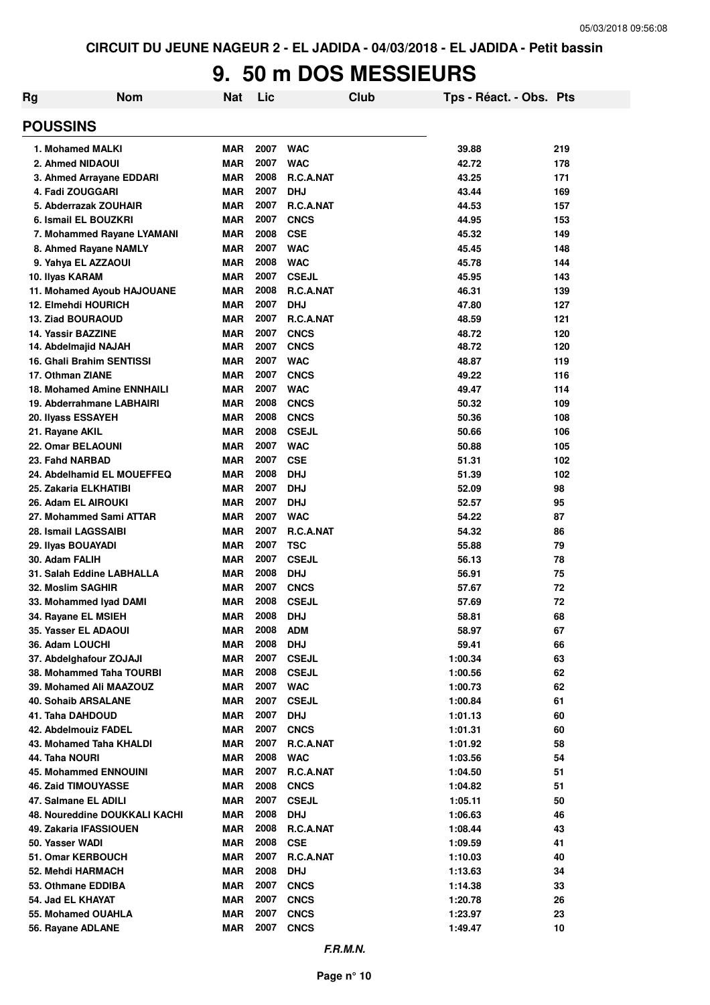#### **9. 50 m DOS MESSIEURS**

| Rg                                | <b>Nom</b> | <b>Nat</b> | Lic  |                  | Club | Tps - Réact. - Obs. Pts |     |
|-----------------------------------|------------|------------|------|------------------|------|-------------------------|-----|
| <b>POUSSINS</b>                   |            |            |      |                  |      |                         |     |
| 1. Mohamed MALKI                  |            | <b>MAR</b> | 2007 | <b>WAC</b>       |      | 39.88                   | 219 |
| 2. Ahmed NIDAOUI                  |            | <b>MAR</b> | 2007 | <b>WAC</b>       |      | 42.72                   | 178 |
| 3. Ahmed Arrayane EDDARI          |            | <b>MAR</b> | 2008 | <b>R.C.A.NAT</b> |      | 43.25                   | 171 |
| 4. Fadi ZOUGGARI                  |            | <b>MAR</b> | 2007 | <b>DHJ</b>       |      | 43.44                   | 169 |
| 5. Abderrazak ZOUHAIR             |            | <b>MAR</b> | 2007 | R.C.A.NAT        |      | 44.53                   | 157 |
| 6. Ismail EL BOUZKRI              |            | <b>MAR</b> | 2007 | <b>CNCS</b>      |      | 44.95                   | 153 |
| 7. Mohammed Rayane LYAMANI        |            | <b>MAR</b> | 2008 | <b>CSE</b>       |      | 45.32                   | 149 |
| 8. Ahmed Rayane NAMLY             |            | <b>MAR</b> | 2007 | <b>WAC</b>       |      | 45.45                   | 148 |
| 9. Yahya EL AZZAOUI               |            | <b>MAR</b> | 2008 | <b>WAC</b>       |      | 45.78                   | 144 |
| 10. Ilyas KARAM                   |            | <b>MAR</b> | 2007 | <b>CSEJL</b>     |      | 45.95                   | 143 |
| 11. Mohamed Ayoub HAJOUANE        |            | <b>MAR</b> | 2008 | R.C.A.NAT        |      | 46.31                   | 139 |
| <b>12. Elmehdi HOURICH</b>        |            | <b>MAR</b> | 2007 | <b>DHJ</b>       |      | 47.80                   | 127 |
| <b>13. Ziad BOURAOUD</b>          |            | <b>MAR</b> | 2007 | <b>R.C.A.NAT</b> |      | 48.59                   | 121 |
| <b>14. Yassir BAZZINE</b>         |            | <b>MAR</b> | 2007 | <b>CNCS</b>      |      | 48.72                   | 120 |
| 14. Abdelmajid NAJAH              |            | MAR        | 2007 | <b>CNCS</b>      |      | 48.72                   | 120 |
| <b>16. Ghali Brahim SENTISSI</b>  |            | MAR        | 2007 | <b>WAC</b>       |      | 48.87                   | 119 |
| 17. Othman ZIANE                  |            | MAR        | 2007 | <b>CNCS</b>      |      | 49.22                   | 116 |
| <b>18. Mohamed Amine ENNHAILI</b> |            | MAR        | 2007 | <b>WAC</b>       |      | 49.47                   | 114 |
| 19. Abderrahmane LABHAIRI         |            | <b>MAR</b> | 2008 | <b>CNCS</b>      |      | 50.32                   | 109 |
| 20. Ilyass ESSAYEH                |            | MAR        | 2008 | <b>CNCS</b>      |      | 50.36                   | 108 |
| 21. Rayane AKIL                   |            | MAR        | 2008 | <b>CSEJL</b>     |      | 50.66                   | 106 |
| <b>22. Omar BELAOUNI</b>          |            | MAR        | 2007 | <b>WAC</b>       |      | 50.88                   | 105 |
| 23. Fahd NARBAD                   |            | <b>MAR</b> | 2007 | <b>CSE</b>       |      | 51.31                   | 102 |
| 24. Abdelhamid EL MOUEFFEQ        |            | MAR        | 2008 | <b>DHJ</b>       |      | 51.39                   | 102 |
| 25. Zakaria ELKHATIBI             |            | <b>MAR</b> | 2007 | <b>DHJ</b>       |      | 52.09                   | 98  |
| 26. Adam EL AIROUKI               |            | <b>MAR</b> | 2007 | <b>DHJ</b>       |      | 52.57                   | 95  |
| 27. Mohammed Sami ATTAR           |            | <b>MAR</b> | 2007 | <b>WAC</b>       |      | 54.22                   | 87  |
| 28. Ismail LAGSSAIBI              |            | <b>MAR</b> | 2007 | R.C.A.NAT        |      | 54.32                   | 86  |
| 29. Ilyas BOUAYADI                |            | <b>MAR</b> | 2007 | <b>TSC</b>       |      | 55.88                   | 79  |
| 30. Adam FALIH                    |            | <b>MAR</b> | 2007 | <b>CSEJL</b>     |      | 56.13                   | 78  |
| 31. Salah Eddine LABHALLA         |            | <b>MAR</b> | 2008 | <b>DHJ</b>       |      | 56.91                   | 75  |
| 32. Moslim SAGHIR                 |            | <b>MAR</b> | 2007 | <b>CNCS</b>      |      | 57.67                   | 72  |
| 33. Mohammed Iyad DAMI            |            | <b>MAR</b> | 2008 | <b>CSEJL</b>     |      | 57.69                   | 72  |
| 34. Rayane EL MSIEH               |            | MAR        | 2008 | <b>DHJ</b>       |      | 58.81                   | 68  |
| 35. Yasser EL ADAOUI              |            | <b>MAR</b> | 2008 | <b>ADM</b>       |      | 58.97                   | 67  |
| 36. Adam LOUCHI                   |            | <b>MAR</b> | 2008 | <b>DHJ</b>       |      | 59.41                   | 66  |
| 37. Abdelghafour ZOJAJI           |            | <b>MAR</b> | 2007 | <b>CSEJL</b>     |      | 1:00.34                 | 63  |
| 38. Mohammed Taha TOURBI          |            | <b>MAR</b> | 2008 | <b>CSEJL</b>     |      | 1:00.56                 | 62  |
| 39. Mohamed Ali MAAZOUZ           |            | <b>MAR</b> | 2007 | <b>WAC</b>       |      | 1:00.73                 | 62  |
| <b>40. Sohaib ARSALANE</b>        |            | <b>MAR</b> | 2007 | <b>CSEJL</b>     |      | 1:00.84                 | 61  |
| 41. Taha DAHDOUD                  |            | <b>MAR</b> | 2007 | <b>DHJ</b>       |      | 1:01.13                 | 60  |
| 42. Abdelmouiz FADEL              |            | <b>MAR</b> | 2007 | <b>CNCS</b>      |      | 1:01.31                 | 60  |
| 43. Mohamed Taha KHALDI           |            | <b>MAR</b> | 2007 | R.C.A.NAT        |      | 1:01.92                 | 58  |
| 44. Taha NOURI                    |            | <b>MAR</b> | 2008 | <b>WAC</b>       |      | 1:03.56                 | 54  |
| <b>45. Mohammed ENNOUINI</b>      |            | <b>MAR</b> | 2007 | R.C.A.NAT        |      | 1:04.50                 | 51  |
| <b>46. Zaid TIMOUYASSE</b>        |            | <b>MAR</b> | 2008 | <b>CNCS</b>      |      | 1:04.82                 | 51  |
| 47. Salmane EL ADILI              |            | <b>MAR</b> | 2007 | <b>CSEJL</b>     |      | 1:05.11                 | 50  |
| 48. Noureddine DOUKKALI KACHI     |            | <b>MAR</b> | 2008 | <b>DHJ</b>       |      | 1:06.63                 | 46  |
| 49. Zakaria IFASSIOUEN            |            | <b>MAR</b> | 2008 | R.C.A.NAT        |      | 1:08.44                 | 43  |
| 50. Yasser WADI                   |            | <b>MAR</b> | 2008 | <b>CSE</b>       |      | 1:09.59                 | 41  |
| 51. Omar KERBOUCH                 |            | <b>MAR</b> | 2007 | R.C.A.NAT        |      | 1:10.03                 | 40  |
| 52. Mehdi HARMACH                 |            | <b>MAR</b> | 2008 | <b>DHJ</b>       |      | 1:13.63                 | 34  |
| 53. Othmane EDDIBA                |            | <b>MAR</b> | 2007 | <b>CNCS</b>      |      | 1:14.38                 | 33  |
| 54. Jad EL KHAYAT                 |            | <b>MAR</b> | 2007 | <b>CNCS</b>      |      | 1:20.78                 | 26  |
| 55. Mohamed OUAHLA                |            | <b>MAR</b> | 2007 | <b>CNCS</b>      |      | 1:23.97                 | 23  |
| 56. Rayane ADLANE                 |            | <b>MAR</b> | 2007 | <b>CNCS</b>      |      | 1:49.47                 | 10  |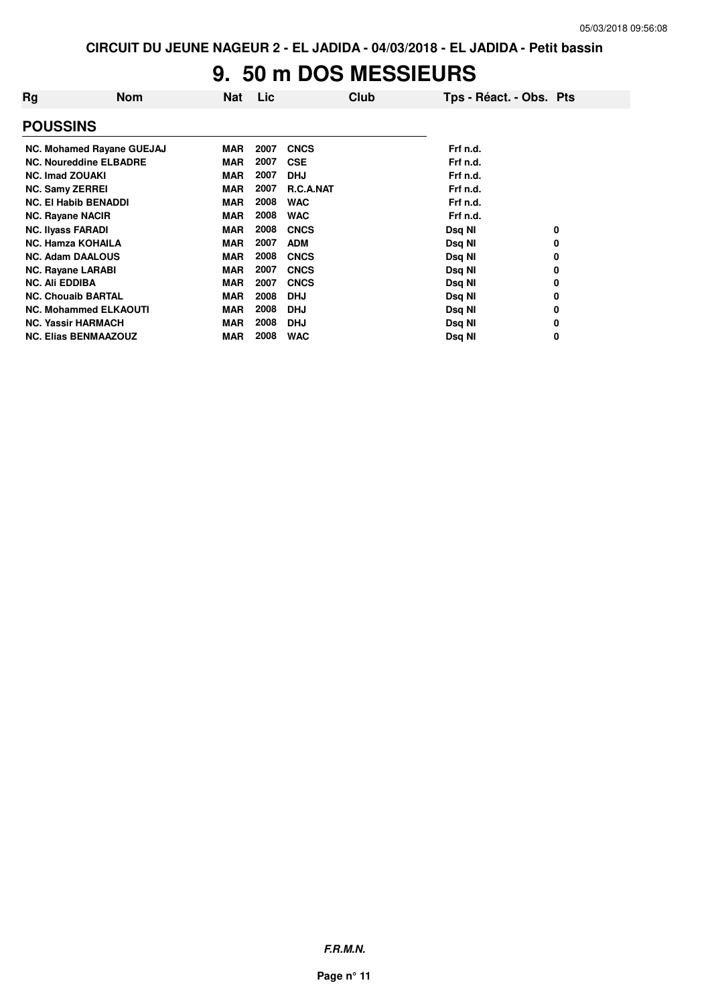#### **9. 50 m DOS MESSIEURS**

| Rg                               | <b>Nom</b> | <b>Nat</b> | Lic  | Club             | Tps - Réact. - Obs. Pts |   |
|----------------------------------|------------|------------|------|------------------|-------------------------|---|
| <b>POUSSINS</b>                  |            |            |      |                  |                         |   |
| <b>NC. Mohamed Rayane GUEJAJ</b> |            | <b>MAR</b> | 2007 | <b>CNCS</b>      | Frf n.d.                |   |
| <b>NC. Noureddine ELBADRE</b>    |            | <b>MAR</b> | 2007 | <b>CSE</b>       | Frf n.d.                |   |
| <b>NC. Imad ZOUAKI</b>           |            | <b>MAR</b> | 2007 | <b>DHJ</b>       | Frf n.d.                |   |
| <b>NC. Samy ZERREI</b>           |            | <b>MAR</b> | 2007 | <b>R.C.A.NAT</b> | Frf n.d.                |   |
| <b>NC. El Habib BENADDI</b>      |            | <b>MAR</b> | 2008 | <b>WAC</b>       | Frf n.d.                |   |
| <b>NC. Rayane NACIR</b>          |            | <b>MAR</b> | 2008 | <b>WAC</b>       | Frf n.d.                |   |
| <b>NC. Ilyass FARADI</b>         |            | <b>MAR</b> | 2008 | <b>CNCS</b>      | Dsq NI                  | 0 |
| <b>NC. Hamza KOHAILA</b>         |            | <b>MAR</b> | 2007 | <b>ADM</b>       | Dsq NI                  | 0 |
| <b>NC. Adam DAALOUS</b>          |            | <b>MAR</b> | 2008 | <b>CNCS</b>      | Dsq NI                  | 0 |
| <b>NC. Rayane LARABI</b>         |            | <b>MAR</b> | 2007 | <b>CNCS</b>      | Dsq NI                  | 0 |
| <b>NC. Ali EDDIBA</b>            |            | <b>MAR</b> | 2007 | <b>CNCS</b>      | Dsq NI                  | 0 |
| <b>NC. Chouaib BARTAL</b>        |            | <b>MAR</b> | 2008 | <b>DHJ</b>       | Dsq NI                  | 0 |
| <b>NC. Mohammed ELKAOUTI</b>     |            | <b>MAR</b> | 2008 | <b>DHJ</b>       | Dsq NI                  | 0 |
| <b>NC. Yassir HARMACH</b>        |            | <b>MAR</b> | 2008 | <b>DHJ</b>       | Dsq NI                  | 0 |
| <b>NC. Elias BENMAAZOUZ</b>      |            | <b>MAR</b> | 2008 | <b>WAC</b>       | Dsg NI                  | 0 |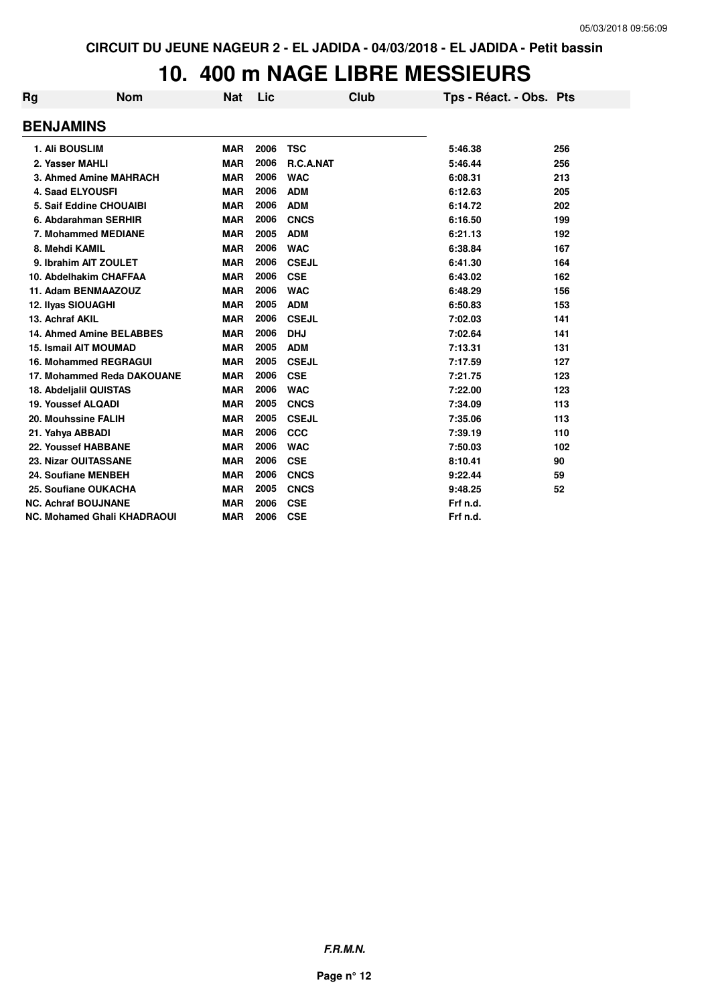## **10. 400 m NAGE LIBRE MESSIEURS**

| Rg | <b>Nom</b>                         | <b>Nat</b> | Lic  | <b>Club</b>  | Tps - Réact. - Obs. Pts |     |
|----|------------------------------------|------------|------|--------------|-------------------------|-----|
|    | <b>BENJAMINS</b>                   |            |      |              |                         |     |
|    | 1. Ali BOUSLIM                     | <b>MAR</b> | 2006 | <b>TSC</b>   | 5:46.38                 | 256 |
|    | 2. Yasser MAHLI                    | <b>MAR</b> | 2006 | R.C.A.NAT    | 5:46.44                 | 256 |
|    | 3. Ahmed Amine MAHRACH             | <b>MAR</b> | 2006 | <b>WAC</b>   | 6:08.31                 | 213 |
|    | <b>4. Saad ELYOUSFI</b>            | <b>MAR</b> | 2006 | <b>ADM</b>   | 6:12.63                 | 205 |
|    | 5. Saif Eddine CHOUAIBI            | <b>MAR</b> | 2006 | <b>ADM</b>   | 6:14.72                 | 202 |
|    | 6. Abdarahman SERHIR               | <b>MAR</b> | 2006 | <b>CNCS</b>  | 6:16.50                 | 199 |
|    | 7. Mohammed MEDIANE                | <b>MAR</b> | 2005 | <b>ADM</b>   | 6:21.13                 | 192 |
|    | 8. Mehdi KAMIL                     | <b>MAR</b> | 2006 | <b>WAC</b>   | 6:38.84                 | 167 |
|    | 9. Ibrahim AIT ZOULET              | <b>MAR</b> | 2006 | <b>CSEJL</b> | 6:41.30                 | 164 |
|    | 10. Abdelhakim CHAFFAA             | <b>MAR</b> | 2006 | <b>CSE</b>   | 6:43.02                 | 162 |
|    | 11. Adam BENMAAZOUZ                | <b>MAR</b> | 2006 | <b>WAC</b>   | 6:48.29                 | 156 |
|    | 12. Ilyas SIOUAGHI                 | <b>MAR</b> | 2005 | <b>ADM</b>   | 6:50.83                 | 153 |
|    | 13. Achraf AKIL                    | <b>MAR</b> | 2006 | <b>CSEJL</b> | 7:02.03                 | 141 |
|    | <b>14. Ahmed Amine BELABBES</b>    | <b>MAR</b> | 2006 | <b>DHJ</b>   | 7:02.64                 | 141 |
|    | <b>15. Ismail AIT MOUMAD</b>       | <b>MAR</b> | 2005 | <b>ADM</b>   | 7:13.31                 | 131 |
|    | <b>16. Mohammed REGRAGUI</b>       | <b>MAR</b> | 2005 | <b>CSEJL</b> | 7:17.59                 | 127 |
|    | 17. Mohammed Reda DAKOUANE         | <b>MAR</b> | 2006 | <b>CSE</b>   | 7:21.75                 | 123 |
|    | 18. Abdeljalil QUISTAS             | <b>MAR</b> | 2006 | <b>WAC</b>   | 7:22.00                 | 123 |
|    | 19. Youssef ALQADI                 | <b>MAR</b> | 2005 | <b>CNCS</b>  | 7:34.09                 | 113 |
|    | 20. Mouhssine FALIH                | <b>MAR</b> | 2005 | <b>CSEJL</b> | 7:35.06                 | 113 |
|    | 21. Yahya ABBADI                   | <b>MAR</b> | 2006 | <b>CCC</b>   | 7:39.19                 | 110 |
|    | 22. Youssef HABBANE                | <b>MAR</b> | 2006 | <b>WAC</b>   | 7:50.03                 | 102 |
|    | 23. Nizar OUITASSANE               | <b>MAR</b> | 2006 | <b>CSE</b>   | 8:10.41                 | 90  |
|    | 24. Soufiane MENBEH                | <b>MAR</b> | 2006 | <b>CNCS</b>  | 9:22.44                 | 59  |
|    | 25. Soufiane OUKACHA               | <b>MAR</b> | 2005 | <b>CNCS</b>  | 9:48.25                 | 52  |
|    | <b>NC. Achraf BOUJNANE</b>         | <b>MAR</b> | 2006 | <b>CSE</b>   | Frf n.d.                |     |
|    | <b>NC. Mohamed Ghali KHADRAOUI</b> | <b>MAR</b> | 2006 | <b>CSE</b>   | Frf n.d.                |     |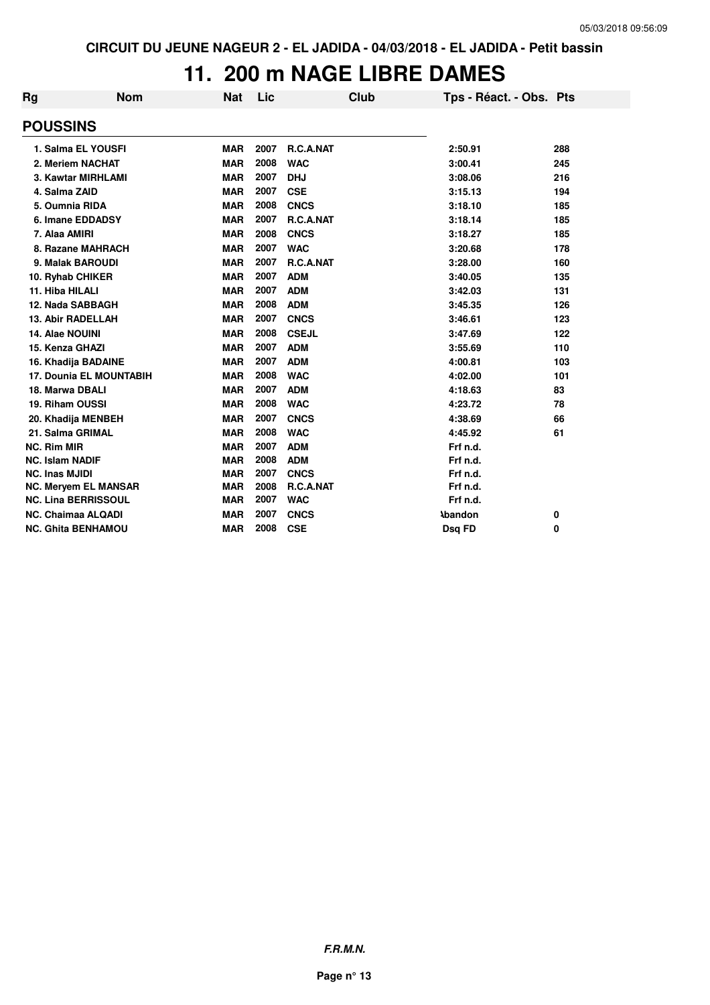## **11. 200 m NAGE LIBRE DAMES**

| Rg | <b>Nom</b>                     | <b>Nat</b> | Lic  | <b>Club</b>      | Tps - Réact. - Obs. Pts |     |
|----|--------------------------------|------------|------|------------------|-------------------------|-----|
|    | <b>POUSSINS</b>                |            |      |                  |                         |     |
|    | 1. Salma EL YOUSFI             | <b>MAR</b> | 2007 | <b>R.C.A.NAT</b> | 2:50.91                 | 288 |
|    | 2. Meriem NACHAT               | <b>MAR</b> | 2008 | <b>WAC</b>       | 3:00.41                 | 245 |
|    | 3. Kawtar MIRHLAMI             | <b>MAR</b> | 2007 | <b>DHJ</b>       | 3:08.06                 | 216 |
|    | 4. Salma ZAID                  | <b>MAR</b> | 2007 | <b>CSE</b>       | 3:15.13                 | 194 |
|    | 5. Oumnia RIDA                 | <b>MAR</b> | 2008 | <b>CNCS</b>      | 3:18.10                 | 185 |
|    | 6. Imane EDDADSY               | <b>MAR</b> | 2007 | <b>R.C.A.NAT</b> | 3:18.14                 | 185 |
|    | 7. Alaa AMIRI                  | <b>MAR</b> | 2008 | <b>CNCS</b>      | 3:18.27                 | 185 |
|    | 8. Razane MAHRACH              | <b>MAR</b> | 2007 | <b>WAC</b>       | 3:20.68                 | 178 |
|    | 9. Malak BAROUDI               | <b>MAR</b> | 2007 | R.C.A.NAT        | 3:28.00                 | 160 |
|    | 10. Ryhab CHIKER               | <b>MAR</b> | 2007 | <b>ADM</b>       | 3:40.05                 | 135 |
|    | 11. Hiba HILALI                | <b>MAR</b> | 2007 | <b>ADM</b>       | 3:42.03                 | 131 |
|    | 12. Nada SABBAGH               | <b>MAR</b> | 2008 | <b>ADM</b>       | 3:45.35                 | 126 |
|    | <b>13. Abir RADELLAH</b>       | <b>MAR</b> | 2007 | <b>CNCS</b>      | 3:46.61                 | 123 |
|    | 14. Alae NOUINI                | <b>MAR</b> | 2008 | <b>CSEJL</b>     | 3:47.69                 | 122 |
|    | 15. Kenza GHAZI                | <b>MAR</b> | 2007 | <b>ADM</b>       | 3:55.69                 | 110 |
|    | 16. Khadija BADAINE            | <b>MAR</b> | 2007 | <b>ADM</b>       | 4:00.81                 | 103 |
|    | <b>17. Dounia EL MOUNTABIH</b> | <b>MAR</b> | 2008 | <b>WAC</b>       | 4:02.00                 | 101 |
|    | 18. Marwa DBALI                | <b>MAR</b> | 2007 | <b>ADM</b>       | 4:18.63                 | 83  |
|    | 19. Riham OUSSI                | <b>MAR</b> | 2008 | <b>WAC</b>       | 4:23.72                 | 78  |
|    | 20. Khadija MENBEH             | <b>MAR</b> | 2007 | <b>CNCS</b>      | 4:38.69                 | 66  |
|    | 21. Salma GRIMAL               | <b>MAR</b> | 2008 | <b>WAC</b>       | 4:45.92                 | 61  |
|    | <b>NC. Rim MIR</b>             | <b>MAR</b> | 2007 | <b>ADM</b>       | Frf n.d.                |     |
|    | <b>NC. Islam NADIF</b>         | <b>MAR</b> | 2008 | <b>ADM</b>       | Frf n.d.                |     |
|    | <b>NC. Inas MJIDI</b>          | <b>MAR</b> | 2007 | <b>CNCS</b>      | Frf n.d.                |     |
|    | <b>NC. Meryem EL MANSAR</b>    | <b>MAR</b> | 2008 | R.C.A.NAT        | Frf n.d.                |     |
|    | <b>NC. Lina BERRISSOUL</b>     | <b>MAR</b> | 2007 | <b>WAC</b>       | Frf n.d.                |     |
|    | <b>NC. Chaimaa ALQADI</b>      | <b>MAR</b> | 2007 | <b>CNCS</b>      | <b>\bandon</b>          | 0   |
|    | <b>NC. Ghita BENHAMOU</b>      | <b>MAR</b> | 2008 | <b>CSE</b>       | Dsq FD                  | 0   |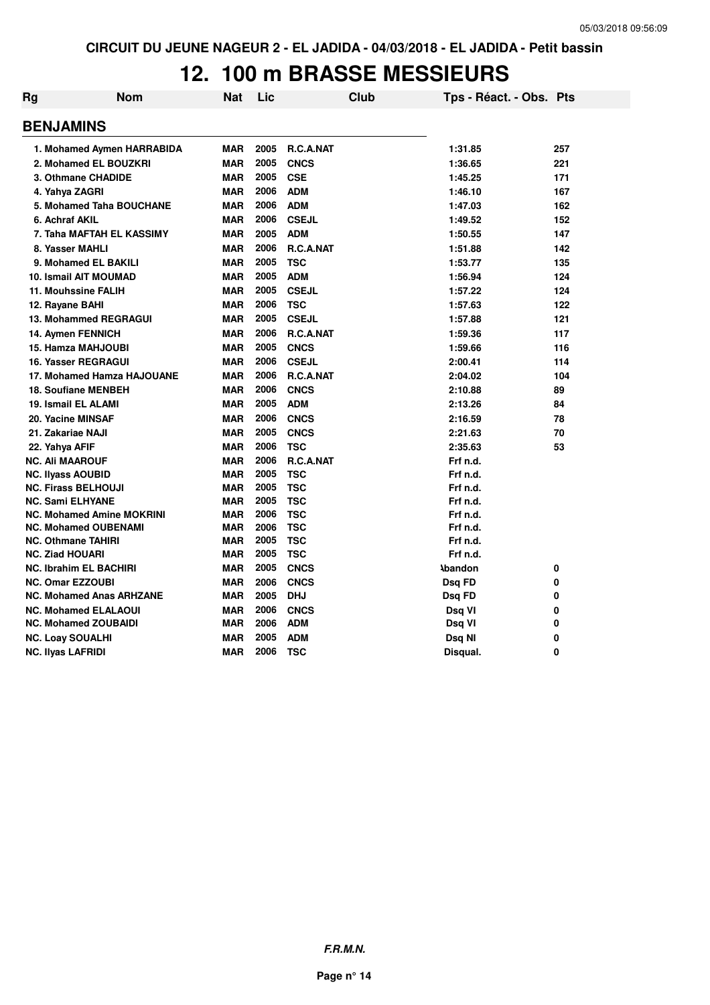## **12. 100 m BRASSE MESSIEURS**

| Rg | <b>Nom</b>                       | <b>Nat</b> | Lic  |              | <b>Club</b> | Tps - Réact. - Obs. Pts |          |
|----|----------------------------------|------------|------|--------------|-------------|-------------------------|----------|
|    | <b>BENJAMINS</b>                 |            |      |              |             |                         |          |
|    | 1. Mohamed Aymen HARRABIDA       | <b>MAR</b> | 2005 | R.C.A.NAT    |             | 1:31.85                 | 257      |
|    | 2. Mohamed EL BOUZKRI            | <b>MAR</b> | 2005 | <b>CNCS</b>  |             | 1:36.65                 | 221      |
|    | 3. Othmane CHADIDE               | <b>MAR</b> | 2005 | <b>CSE</b>   |             | 1:45.25                 | 171      |
|    | 4. Yahya ZAGRI                   | <b>MAR</b> | 2006 | <b>ADM</b>   |             | 1:46.10                 | 167      |
|    | 5. Mohamed Taha BOUCHANE         | <b>MAR</b> | 2006 | <b>ADM</b>   |             | 1:47.03                 | 162      |
|    | 6. Achraf AKIL                   | <b>MAR</b> | 2006 | <b>CSEJL</b> |             | 1:49.52                 | 152      |
|    | 7. Taha MAFTAH EL KASSIMY        | <b>MAR</b> | 2005 | <b>ADM</b>   |             | 1:50.55                 | 147      |
|    | 8. Yasser MAHLI                  | <b>MAR</b> | 2006 | R.C.A.NAT    |             | 1:51.88                 | 142      |
|    | 9. Mohamed EL BAKILI             | <b>MAR</b> | 2005 | <b>TSC</b>   |             | 1:53.77                 | 135      |
|    | <b>10. Ismail AIT MOUMAD</b>     | <b>MAR</b> | 2005 | <b>ADM</b>   |             | 1:56.94                 | 124      |
|    | 11. Mouhssine FALIH              | <b>MAR</b> | 2005 | <b>CSEJL</b> |             | 1:57.22                 | 124      |
|    | 12. Rayane BAHI                  | <b>MAR</b> | 2006 | <b>TSC</b>   |             | 1:57.63                 | 122      |
|    | <b>13. Mohammed REGRAGUI</b>     | <b>MAR</b> | 2005 | <b>CSEJL</b> |             | 1:57.88                 | 121      |
|    | 14. Aymen FENNICH                | <b>MAR</b> | 2006 | R.C.A.NAT    |             | 1:59.36                 | 117      |
|    | 15. Hamza MAHJOUBI               | <b>MAR</b> | 2005 | <b>CNCS</b>  |             | 1:59.66                 | 116      |
|    | 16. Yasser REGRAGUI              | <b>MAR</b> | 2006 | <b>CSEJL</b> |             | 2:00.41                 | 114      |
|    | 17. Mohamed Hamza HAJOUANE       | <b>MAR</b> | 2006 | R.C.A.NAT    |             | 2:04.02                 | 104      |
|    | <b>18. Soufiane MENBEH</b>       | <b>MAR</b> | 2006 | <b>CNCS</b>  |             | 2:10.88                 | 89       |
|    | 19. Ismail EL ALAMI              | <b>MAR</b> | 2005 | <b>ADM</b>   |             | 2:13.26                 | 84       |
|    | 20. Yacine MINSAF                | <b>MAR</b> | 2006 | <b>CNCS</b>  |             | 2:16.59                 | 78       |
|    | 21. Zakariae NAJI                | <b>MAR</b> | 2005 | <b>CNCS</b>  |             | 2:21.63                 | 70       |
|    | 22. Yahya AFIF                   | <b>MAR</b> | 2006 | <b>TSC</b>   |             | 2:35.63                 | 53       |
|    | <b>NC. Ali MAAROUF</b>           | <b>MAR</b> | 2006 | R.C.A.NAT    |             | Frf n.d.                |          |
|    | <b>NC. Ilyass AOUBID</b>         | <b>MAR</b> | 2005 | <b>TSC</b>   |             | Frf n.d.                |          |
|    | <b>NC. Firass BELHOUJI</b>       | <b>MAR</b> | 2005 | <b>TSC</b>   |             | Frf n.d.                |          |
|    | <b>NC. Sami ELHYANE</b>          | <b>MAR</b> | 2005 | <b>TSC</b>   |             | Frf n.d.                |          |
|    | <b>NC. Mohamed Amine MOKRINI</b> | <b>MAR</b> | 2006 | <b>TSC</b>   |             | Frf n.d.                |          |
|    | <b>NC. Mohamed OUBENAMI</b>      | <b>MAR</b> | 2006 | <b>TSC</b>   |             | Frf n.d.                |          |
|    | <b>NC. Othmane TAHIRI</b>        | <b>MAR</b> | 2005 | <b>TSC</b>   |             | Frf n.d.                |          |
|    | <b>NC. Ziad HOUARI</b>           | <b>MAR</b> | 2005 | <b>TSC</b>   |             | Frf n.d.                |          |
|    | <b>NC. Ibrahim EL BACHIRI</b>    | <b>MAR</b> | 2005 | <b>CNCS</b>  |             | <b>\bandon</b>          | 0        |
|    | <b>NC. Omar EZZOUBI</b>          | <b>MAR</b> | 2006 | <b>CNCS</b>  |             | Dsg FD                  | 0        |
|    | <b>NC. Mohamed Anas ARHZANE</b>  | <b>MAR</b> | 2005 | <b>DHJ</b>   |             | Dsq FD                  | 0        |
|    | <b>NC. Mohamed ELALAOUI</b>      | <b>MAR</b> | 2006 | <b>CNCS</b>  |             | Dsq VI                  | 0        |
|    | <b>NC. Mohamed ZOUBAIDI</b>      | <b>MAR</b> | 2006 | <b>ADM</b>   |             | Dsq VI                  | 0        |
|    | <b>NC. Loay SOUALHI</b>          | <b>MAR</b> | 2005 | <b>ADM</b>   |             | Dsq NI                  | 0        |
|    | <b>NC. Ilyas LAFRIDI</b>         | <b>MAR</b> | 2006 | <b>TSC</b>   |             | Disqual.                | $\Omega$ |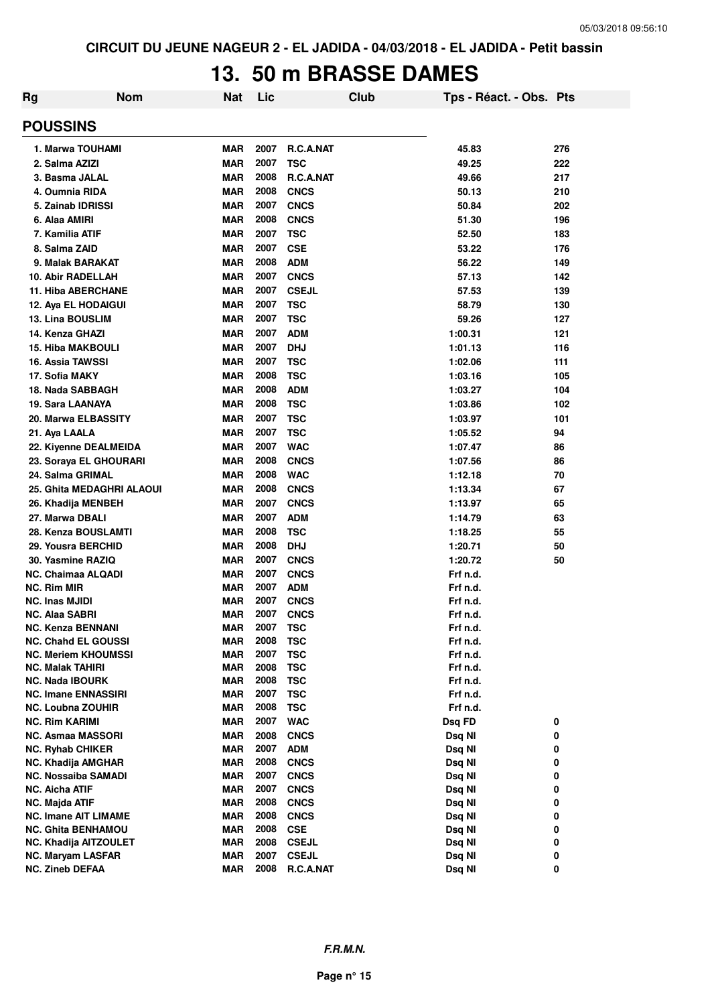#### **13. 50 m BRASSE DAMES**

| Rg                                      | <b>Nom</b> | <b>Nat</b>               | Lic          |                            | Club | Tps - Réact. - Obs. Pts |        |  |
|-----------------------------------------|------------|--------------------------|--------------|----------------------------|------|-------------------------|--------|--|
| <b>POUSSINS</b>                         |            |                          |              |                            |      |                         |        |  |
| 1. Marwa TOUHAMI                        |            | <b>MAR</b>               | 2007         | R.C.A.NAT                  |      | 45.83                   | 276    |  |
| 2. Salma AZIZI                          |            | <b>MAR</b>               | 2007         | <b>TSC</b>                 |      | 49.25                   | 222    |  |
| 3. Basma JALAL                          |            | <b>MAR</b>               | 2008         | <b>R.C.A.NAT</b>           |      | 49.66                   | 217    |  |
| 4. Oumnia RIDA                          |            | <b>MAR</b>               | 2008         | <b>CNCS</b>                |      | 50.13                   | 210    |  |
| 5. Zainab IDRISSI                       |            | <b>MAR</b>               | 2007         | <b>CNCS</b>                |      | 50.84                   | 202    |  |
| 6. Alaa AMIRI                           |            | <b>MAR</b>               | 2008         | <b>CNCS</b>                |      | 51.30                   | 196    |  |
| 7. Kamilia ATIF                         |            | <b>MAR</b>               | 2007         | <b>TSC</b>                 |      | 52.50                   | 183    |  |
| 8. Salma ZAID                           |            | <b>MAR</b>               | 2007         | <b>CSE</b>                 |      | 53.22                   | 176    |  |
| 9. Malak BARAKAT                        |            | <b>MAR</b>               | 2008         | <b>ADM</b>                 |      | 56.22                   | 149    |  |
| <b>10. Abir RADELLAH</b>                |            | <b>MAR</b>               | 2007         | <b>CNCS</b>                |      | 57.13                   | 142    |  |
| <b>11. Hiba ABERCHANE</b>               |            | <b>MAR</b>               | 2007         | <b>CSEJL</b>               |      | 57.53                   | 139    |  |
| 12. Aya EL HODAIGUI                     |            | <b>MAR</b>               | 2007         | <b>TSC</b>                 |      | 58.79                   | 130    |  |
| 13. Lina BOUSLIM                        |            | <b>MAR</b>               | 2007         | <b>TSC</b>                 |      | 59.26                   | 127    |  |
| 14. Kenza GHAZI                         |            | <b>MAR</b>               | 2007         | <b>ADM</b>                 |      | 1:00.31                 | 121    |  |
| <b>15. Hiba MAKBOULI</b>                |            | <b>MAR</b>               | 2007         | <b>DHJ</b>                 |      | 1:01.13                 | 116    |  |
| <b>16. Assia TAWSSI</b>                 |            | <b>MAR</b>               | 2007         | <b>TSC</b>                 |      | 1:02.06                 | 111    |  |
| 17. Sofia MAKY                          |            | <b>MAR</b>               | 2008         | <b>TSC</b>                 |      | 1:03.16                 | 105    |  |
| 18. Nada SABBAGH                        |            | <b>MAR</b>               | 2008         | <b>ADM</b>                 |      | 1:03.27                 | 104    |  |
| 19. Sara LAANAYA                        |            | <b>MAR</b>               | 2008         | <b>TSC</b>                 |      | 1:03.86                 | 102    |  |
| 20. Marwa ELBASSITY                     |            | <b>MAR</b>               | 2007         | <b>TSC</b>                 |      | 1:03.97                 | 101    |  |
| 21. Aya LAALA                           |            | <b>MAR</b>               | 2007         | <b>TSC</b>                 |      | 1:05.52                 | 94     |  |
| 22. Kiyenne DEALMEIDA                   |            | <b>MAR</b>               | 2007         | <b>WAC</b>                 |      | 1:07.47                 | 86     |  |
| 23. Soraya EL GHOURARI                  |            | <b>MAR</b>               | 2008         | <b>CNCS</b>                |      | 1:07.56                 | 86     |  |
| 24. Salma GRIMAL                        |            | <b>MAR</b>               | 2008         | <b>WAC</b>                 |      | 1:12.18                 | 70     |  |
| 25. Ghita MEDAGHRI ALAOUI               |            | <b>MAR</b>               | 2008         | <b>CNCS</b>                |      | 1:13.34                 | 67     |  |
| 26. Khadija MENBEH                      |            | <b>MAR</b>               | 2007         | <b>CNCS</b>                |      | 1:13.97                 | 65     |  |
| 27. Marwa DBALI                         |            | <b>MAR</b>               | 2007         | <b>ADM</b>                 |      | 1:14.79                 | 63     |  |
| 28. Kenza BOUSLAMTI                     |            | <b>MAR</b>               | 2008         | <b>TSC</b>                 |      | 1:18.25                 | 55     |  |
| 29. Yousra BERCHID                      |            | <b>MAR</b>               | 2008         | <b>DHJ</b>                 |      | 1:20.71                 | 50     |  |
| 30. Yasmine RAZIQ                       |            | <b>MAR</b>               | 2007         | <b>CNCS</b>                |      | 1:20.72                 | 50     |  |
| <b>NC. Chaimaa ALQADI</b>               |            | <b>MAR</b>               | 2007         | <b>CNCS</b>                |      | Frf n.d.                |        |  |
| <b>NC. Rim MIR</b>                      |            | <b>MAR</b>               | 2007         | <b>ADM</b>                 |      | Frf n.d.                |        |  |
| <b>NC. Inas MJIDI</b>                   |            | <b>MAR</b>               | 2007         | <b>CNCS</b>                |      | Frf n.d.                |        |  |
| <b>NC. Alaa SABRI</b>                   |            | <b>MAR</b>               | 2007         | <b>CNCS</b>                |      | Frf n.d.                |        |  |
| <b>NC. Kenza BENNANI</b>                |            | <b>MAR</b>               | 2007         | <b>TSC</b>                 |      | Frf n.d.                |        |  |
| <b>NC. Chahd EL GOUSSI</b>              |            | <b>MAR</b>               | 2008         | <b>TSC</b>                 |      | Frf n.d.                |        |  |
| <b>NC. Meriem KHOUMSSI</b>              |            | <b>MAR</b>               | 2007         | <b>TSC</b>                 |      | Frf n.d.                |        |  |
| <b>NC. Malak TAHIRI</b>                 |            | <b>MAR</b>               | 2008         | <b>TSC</b>                 |      | Frf n.d.                |        |  |
| <b>NC. Nada IBOURK</b>                  |            | MAR                      | 2008         | <b>TSC</b>                 |      | Frf n.d.                |        |  |
| <b>NC. Imane ENNASSIRI</b>              |            | <b>MAR</b>               | 2007         | <b>TSC</b>                 |      | Frf n.d.                |        |  |
| <b>NC. Loubna ZOUHIR</b>                |            | MAR                      | 2008         | <b>TSC</b>                 |      | Frf n.d.                |        |  |
| <b>NC. Rim KARIMI</b>                   |            | MAR                      | 2007         | <b>WAC</b>                 |      | Dsq FD                  | 0      |  |
| <b>NC. Asmaa MASSORI</b>                |            | <b>MAR</b>               | 2008         | <b>CNCS</b>                |      | Dsq NI                  | 0      |  |
| <b>NC. Ryhab CHIKER</b>                 |            | MAR                      | 2007         | <b>ADM</b>                 |      | Dsq NI                  | 0      |  |
| <b>NC. Khadija AMGHAR</b>               |            | MAR                      | 2008<br>2007 | <b>CNCS</b>                |      | Dsq NI                  | 0      |  |
| <b>NC. Nossaiba SAMADI</b>              |            | <b>MAR</b><br><b>MAR</b> | 2007         | <b>CNCS</b>                |      | Dsq NI                  | 0<br>0 |  |
| NC. Aicha ATIF<br><b>NC. Majda ATIF</b> |            | <b>MAR</b>               | 2008         | <b>CNCS</b><br><b>CNCS</b> |      | Dsq NI<br>Dsq NI        | 0      |  |
| <b>NC. Imane AIT LIMAME</b>             |            | <b>MAR</b>               | 2008         | <b>CNCS</b>                |      | Dsq NI                  | 0      |  |
| <b>NC. Ghita BENHAMOU</b>               |            | <b>MAR</b>               | 2008         | <b>CSE</b>                 |      | Dsq NI                  | 0      |  |
| <b>NC. Khadija AITZOULET</b>            |            | <b>MAR</b>               | 2008         | <b>CSEJL</b>               |      | Dsq NI                  | 0      |  |
| <b>NC. Maryam LASFAR</b>                |            | <b>MAR</b>               | 2007         | <b>CSEJL</b>               |      | Dsq NI                  | 0      |  |
| <b>NC. Zineb DEFAA</b>                  |            | <b>MAR</b>               | 2008         | R.C.A.NAT                  |      | Dsq NI                  | 0      |  |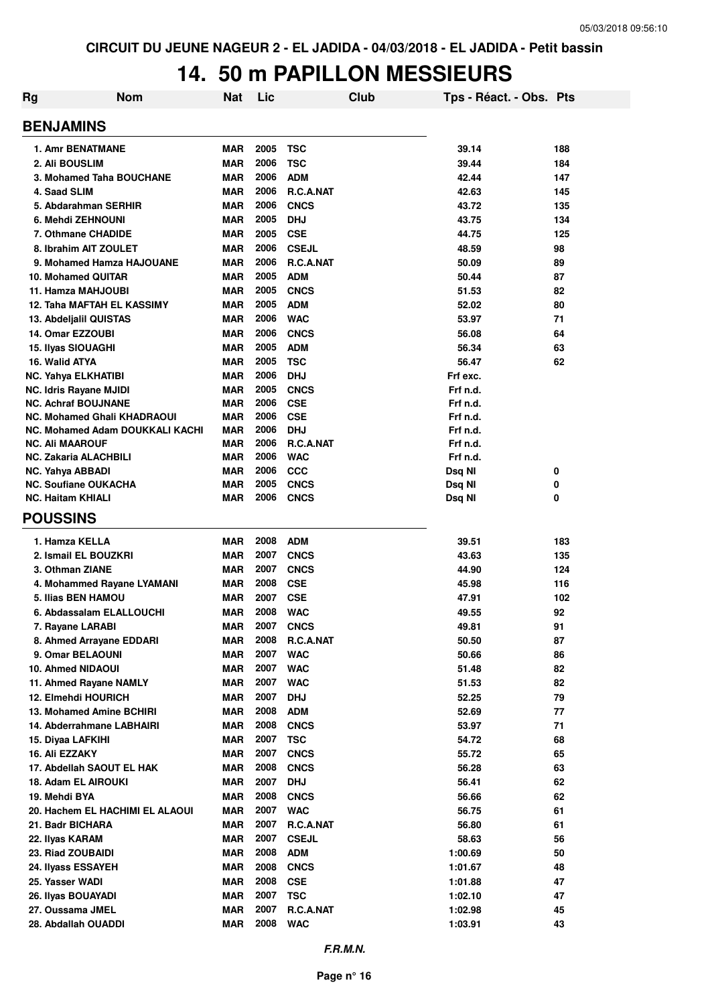## **14. 50 m PAPILLON MESSIEURS**

| Rg<br><b>Nom</b>                   | <b>Nat</b> | Lic  | Club             | Tps - Réact. - Obs. Pts |     |
|------------------------------------|------------|------|------------------|-------------------------|-----|
| <b>BENJAMINS</b>                   |            |      |                  |                         |     |
| <b>1. Amr BENATMANE</b>            | <b>MAR</b> | 2005 | <b>TSC</b>       | 39.14                   | 188 |
| 2. Ali BOUSLIM                     | <b>MAR</b> | 2006 | <b>TSC</b>       | 39.44                   | 184 |
| 3. Mohamed Taha BOUCHANE           | <b>MAR</b> | 2006 | <b>ADM</b>       | 42.44                   | 147 |
| 4. Saad SLIM                       | <b>MAR</b> | 2006 | R.C.A.NAT        | 42.63                   | 145 |
| 5. Abdarahman SERHIR               | <b>MAR</b> | 2006 | <b>CNCS</b>      | 43.72                   | 135 |
| 6. Mehdi ZEHNOUNI                  | <b>MAR</b> | 2005 | <b>DHJ</b>       | 43.75                   | 134 |
| 7. Othmane CHADIDE                 | <b>MAR</b> | 2005 | <b>CSE</b>       | 44.75                   | 125 |
| 8. Ibrahim AIT ZOULET              | <b>MAR</b> | 2006 | <b>CSEJL</b>     | 48.59                   | 98  |
| 9. Mohamed Hamza HAJOUANE          | <b>MAR</b> | 2006 | R.C.A.NAT        | 50.09                   | 89  |
| 10. Mohamed QUITAR                 | <b>MAR</b> | 2005 | <b>ADM</b>       | 50.44                   | 87  |
| 11. Hamza MAHJOUBI                 | <b>MAR</b> | 2005 | <b>CNCS</b>      | 51.53                   | 82  |
| 12. Taha MAFTAH EL KASSIMY         | <b>MAR</b> | 2005 | <b>ADM</b>       | 52.02                   | 80  |
| 13. Abdeljalil QUISTAS             | <b>MAR</b> | 2006 | <b>WAC</b>       | 53.97                   | 71  |
| 14. Omar EZZOUBI                   | <b>MAR</b> | 2006 | <b>CNCS</b>      | 56.08                   | 64  |
| 15. Ilyas SIOUAGHI                 | <b>MAR</b> | 2005 | <b>ADM</b>       | 56.34                   | 63  |
| 16. Walid ATYA                     | <b>MAR</b> | 2005 | <b>TSC</b>       | 56.47                   | 62  |
| NC. Yahya ELKHATIBI                | <b>MAR</b> | 2006 | <b>DHJ</b>       | Frf exc.                |     |
| NC. Idris Rayane MJIDI             | <b>MAR</b> | 2005 | <b>CNCS</b>      | Frf n.d.                |     |
| <b>NC. Achraf BOUJNANE</b>         | <b>MAR</b> | 2006 | <b>CSE</b>       | Frf n.d.                |     |
| <b>NC. Mohamed Ghali KHADRAOUI</b> | <b>MAR</b> | 2006 | <b>CSE</b>       | Frf n.d.                |     |
| NC. Mohamed Adam DOUKKALI KACHI    | <b>MAR</b> | 2006 | <b>DHJ</b>       | Frf n.d.                |     |
| <b>NC. Ali MAAROUF</b>             | <b>MAR</b> | 2006 | <b>R.C.A.NAT</b> | Frf n.d.                |     |
| <b>NC. Zakaria ALACHBILI</b>       | <b>MAR</b> | 2006 | <b>WAC</b>       | Frf n.d.                |     |
| NC. Yahya ABBADI                   | <b>MAR</b> | 2006 | <b>CCC</b>       | Dsq NI                  | 0   |
| <b>NC. Soufiane OUKACHA</b>        | <b>MAR</b> | 2005 | <b>CNCS</b>      | Dsq NI                  | 0   |
| <b>NC. Haitam KHIALI</b>           | <b>MAR</b> | 2006 | <b>CNCS</b>      | Dsq NI                  | 0   |
| <b>POUSSINS</b>                    |            |      |                  |                         |     |
| 1. Hamza KELLA                     | <b>MAR</b> | 2008 | <b>ADM</b>       | 39.51                   | 183 |
| 2. Ismail EL BOUZKRI               | <b>MAR</b> | 2007 | <b>CNCS</b>      | 43.63                   | 135 |
| 3. Othman ZIANE                    | <b>MAR</b> | 2007 | <b>CNCS</b>      | 44.90                   | 124 |
| 4. Mohammed Rayane LYAMANI         | <b>MAR</b> | 2008 | <b>CSE</b>       | 45.98                   | 116 |
| 5. Ilias BEN HAMOU                 | <b>MAR</b> | 2007 | <b>CSE</b>       | 47.91                   | 102 |
| 6. Abdassalam ELALLOUCHI           | <b>MAR</b> | 2008 | <b>WAC</b>       | 49.55                   | 92  |
| 7. Rayane LARABI                   | <b>MAR</b> | 2007 | <b>CNCS</b>      | 49.81                   | 91  |
| 8. Ahmed Arrayane EDDARI           | MAR        | 2008 | R.C.A.NAT        | 50.50                   | 87  |
| 9. Omar BELAOUNI                   | MAR        | 2007 | <b>WAC</b>       | 50.66                   | 86  |
| <b>10. Ahmed NIDAOUI</b>           | MAR        | 2007 | <b>WAC</b>       | 51.48                   | 82  |
| 11. Ahmed Rayane NAMLY             | <b>MAR</b> | 2007 | <b>WAC</b>       | 51.53                   | 82  |
| <b>12. Elmehdi HOURICH</b>         | MAR        | 2007 | <b>DHJ</b>       | 52.25                   | 79  |
| 13. Mohamed Amine BCHIRI           | MAR        | 2008 | <b>ADM</b>       | 52.69                   | 77  |
| 14. Abderrahmane LABHAIRI          | <b>MAR</b> | 2008 | <b>CNCS</b>      | 53.97                   | 71  |
| 15. Diyaa LAFKIHI                  | <b>MAR</b> | 2007 | <b>TSC</b>       | 54.72                   | 68  |
| 16. Ali EZZAKY                     | MAR        | 2007 | <b>CNCS</b>      | 55.72                   | 65  |
| 17. Abdellah SAOUT EL HAK          | <b>MAR</b> | 2008 | <b>CNCS</b>      | 56.28                   | 63  |
| 18. Adam EL AIROUKI                | <b>MAR</b> | 2007 | <b>DHJ</b>       | 56.41                   | 62  |
| 19. Mehdi BYA                      | <b>MAR</b> | 2008 | <b>CNCS</b>      | 56.66                   | 62  |
| 20. Hachem EL HACHIMI EL ALAOUI    | <b>MAR</b> | 2007 | <b>WAC</b>       | 56.75                   | 61  |
| 21. Badr BICHARA                   | MAR        | 2007 | R.C.A.NAT        | 56.80                   | 61  |
| 22. Ilyas KARAM                    | MAR        | 2007 | <b>CSEJL</b>     | 58.63                   | 56  |
| 23. Riad ZOUBAIDI                  | MAR        | 2008 | <b>ADM</b>       | 1:00.69                 | 50  |
| 24. Ilyass ESSAYEH                 | <b>MAR</b> | 2008 | <b>CNCS</b>      | 1:01.67                 | 48  |
| 25. Yasser WADI                    | <b>MAR</b> | 2008 | <b>CSE</b>       | 1:01.88                 | 47  |
| 26. Ilyas BOUAYADI                 | <b>MAR</b> | 2007 | <b>TSC</b>       | 1:02.10                 | 47  |
| 27. Oussama JMEL                   | <b>MAR</b> | 2007 | R.C.A.NAT        | 1:02.98                 | 45  |
| 28. Abdallah OUADDI                | <b>MAR</b> | 2008 | <b>WAC</b>       | 1:03.91                 | 43  |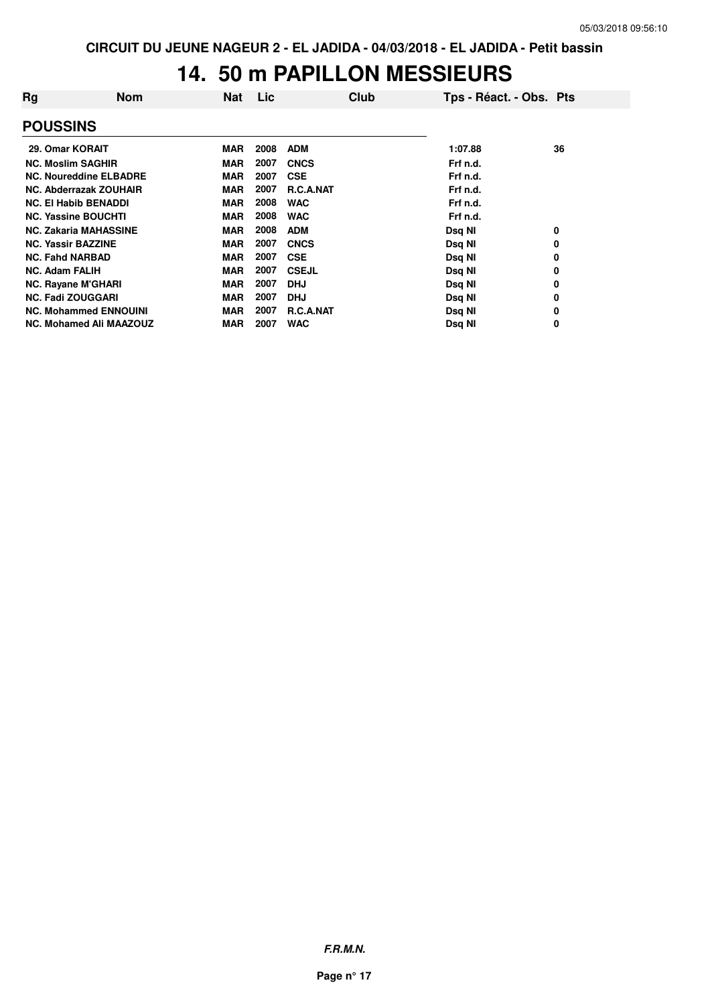## **14. 50 m PAPILLON MESSIEURS**

| Rg                             | <b>Nom</b> | <b>Nat</b> | Lic  | Club             | Tps - Réact. - Obs. Pts |    |
|--------------------------------|------------|------------|------|------------------|-------------------------|----|
| <b>POUSSINS</b>                |            |            |      |                  |                         |    |
| 29. Omar KORAIT                |            | <b>MAR</b> | 2008 | <b>ADM</b>       | 1:07.88                 | 36 |
| <b>NC. Moslim SAGHIR</b>       |            | <b>MAR</b> | 2007 | <b>CNCS</b>      | Frf n.d.                |    |
| <b>NC. Noureddine ELBADRE</b>  |            | <b>MAR</b> | 2007 | <b>CSE</b>       | Frf n.d.                |    |
| <b>NC. Abderrazak ZOUHAIR</b>  |            | <b>MAR</b> | 2007 | <b>R.C.A.NAT</b> | Frf n.d.                |    |
| <b>NC. El Habib BENADDI</b>    |            | <b>MAR</b> | 2008 | <b>WAC</b>       | Frf n.d.                |    |
| <b>NC. Yassine BOUCHTI</b>     |            | <b>MAR</b> | 2008 | <b>WAC</b>       | Frf n.d.                |    |
| <b>NC. Zakaria MAHASSINE</b>   |            | <b>MAR</b> | 2008 | <b>ADM</b>       | Dsq NI                  | 0  |
| <b>NC. Yassir BAZZINE</b>      |            | <b>MAR</b> | 2007 | <b>CNCS</b>      | Dsq NI                  | 0  |
| <b>NC. Fahd NARBAD</b>         |            | <b>MAR</b> | 2007 | <b>CSE</b>       | Dsq NI                  | 0  |
| <b>NC. Adam FALIH</b>          |            | <b>MAR</b> | 2007 | <b>CSEJL</b>     | Dsq NI                  | 0  |
| <b>NC. Rayane M'GHARI</b>      |            | <b>MAR</b> | 2007 | <b>DHJ</b>       | Dsq NI                  | 0  |
| <b>NC. Fadi ZOUGGARI</b>       |            | <b>MAR</b> | 2007 | <b>DHJ</b>       | Dsq NI                  | 0  |
| <b>NC. Mohammed ENNOUINI</b>   |            | <b>MAR</b> | 2007 | <b>R.C.A.NAT</b> | Dsq NI                  | 0  |
| <b>NC. Mohamed Ali MAAZOUZ</b> |            | <b>MAR</b> | 2007 | <b>WAC</b>       | Dsq NI                  | 0  |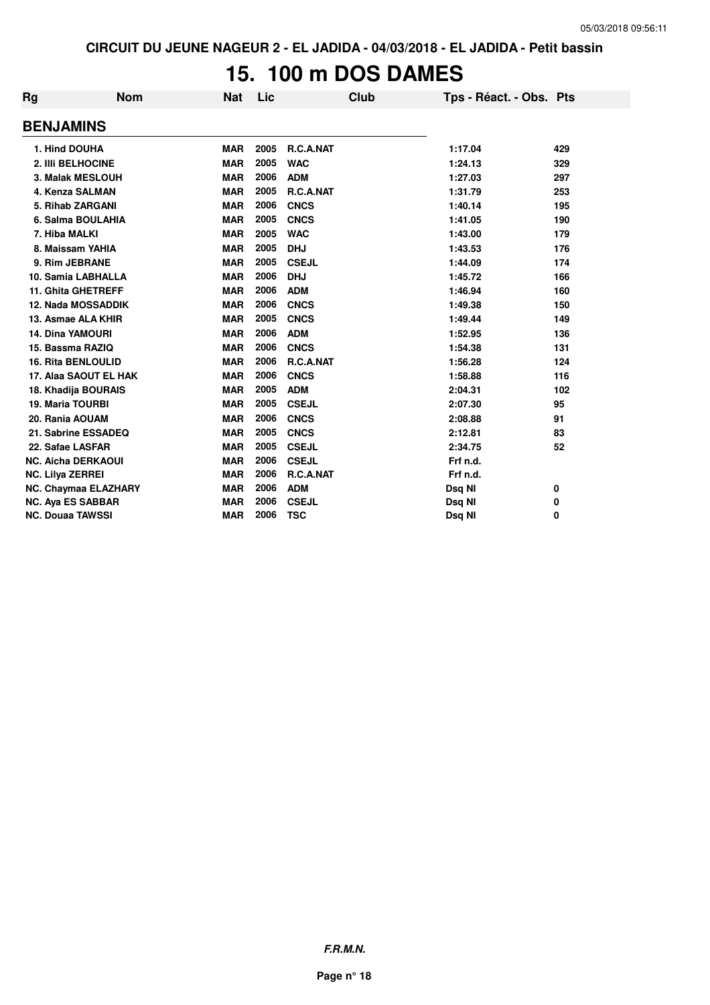# **15. 100 m DOS DAMES**

| Rg | <b>Nom</b>                  | <b>Nat</b> | Lic  | Club             | Tps - Réact. - Obs. Pts |     |
|----|-----------------------------|------------|------|------------------|-------------------------|-----|
|    | <b>BENJAMINS</b>            |            |      |                  |                         |     |
|    | 1. Hind DOUHA               | <b>MAR</b> | 2005 | <b>R.C.A.NAT</b> | 1:17.04                 | 429 |
|    | 2. IIIi BELHOCINE           | <b>MAR</b> | 2005 | <b>WAC</b>       | 1:24.13                 | 329 |
|    | 3. Malak MESLOUH            | <b>MAR</b> | 2006 | <b>ADM</b>       | 1:27.03                 | 297 |
|    | 4. Kenza SALMAN             | <b>MAR</b> | 2005 | R.C.A.NAT        | 1:31.79                 | 253 |
|    | 5. Rihab ZARGANI            | <b>MAR</b> | 2006 | <b>CNCS</b>      | 1:40.14                 | 195 |
|    | 6. Salma BOULAHIA           | <b>MAR</b> | 2005 | <b>CNCS</b>      | 1:41.05                 | 190 |
|    | 7. Hiba MALKI               | <b>MAR</b> | 2005 | <b>WAC</b>       | 1:43.00                 | 179 |
|    | 8. Maissam YAHIA            | <b>MAR</b> | 2005 | <b>DHJ</b>       | 1:43.53                 | 176 |
|    | 9. Rim JEBRANE              | <b>MAR</b> | 2005 | <b>CSEJL</b>     | 1:44.09                 | 174 |
|    | 10. Samia LABHALLA          | <b>MAR</b> | 2006 | <b>DHJ</b>       | 1:45.72                 | 166 |
|    | 11. Ghita GHETREFF          | <b>MAR</b> | 2006 | <b>ADM</b>       | 1:46.94                 | 160 |
|    | <b>12. Nada MOSSADDIK</b>   | <b>MAR</b> | 2006 | <b>CNCS</b>      | 1:49.38                 | 150 |
|    | 13. Asmae ALA KHIR          | <b>MAR</b> | 2005 | <b>CNCS</b>      | 1:49.44                 | 149 |
|    | <b>14. Dina YAMOURI</b>     | <b>MAR</b> | 2006 | <b>ADM</b>       | 1:52.95                 | 136 |
|    | 15. Bassma RAZIQ            | <b>MAR</b> | 2006 | <b>CNCS</b>      | 1:54.38                 | 131 |
|    | <b>16. Rita BENLOULID</b>   | <b>MAR</b> | 2006 | R.C.A.NAT        | 1:56.28                 | 124 |
|    | 17. Alaa SAOUT EL HAK       | <b>MAR</b> | 2006 | <b>CNCS</b>      | 1:58.88                 | 116 |
|    | 18. Khadija BOURAIS         | <b>MAR</b> | 2005 | <b>ADM</b>       | 2:04.31                 | 102 |
|    | <b>19. Maria TOURBI</b>     | <b>MAR</b> | 2005 | <b>CSEJL</b>     | 2:07.30                 | 95  |
|    | 20. Rania AOUAM             | <b>MAR</b> | 2006 | <b>CNCS</b>      | 2:08.88                 | 91  |
|    | 21. Sabrine ESSADEQ         | <b>MAR</b> | 2005 | <b>CNCS</b>      | 2:12.81                 | 83  |
|    | 22. Safae LASFAR            | <b>MAR</b> | 2005 | <b>CSEJL</b>     | 2:34.75                 | 52  |
|    | <b>NC. Aicha DERKAOUI</b>   | <b>MAR</b> | 2006 | <b>CSEJL</b>     | Frf n.d.                |     |
|    | <b>NC. Lilya ZERREI</b>     | <b>MAR</b> | 2006 | R.C.A.NAT        | Frf n.d.                |     |
|    | <b>NC. Chaymaa ELAZHARY</b> | <b>MAR</b> | 2006 | <b>ADM</b>       | Dsq NI                  | 0   |
|    | <b>NC. Aya ES SABBAR</b>    | <b>MAR</b> | 2006 | <b>CSEJL</b>     | Dsq NI                  | 0   |
|    | <b>NC. Douaa TAWSSI</b>     | <b>MAR</b> | 2006 | <b>TSC</b>       | Dsq NI                  | 0   |